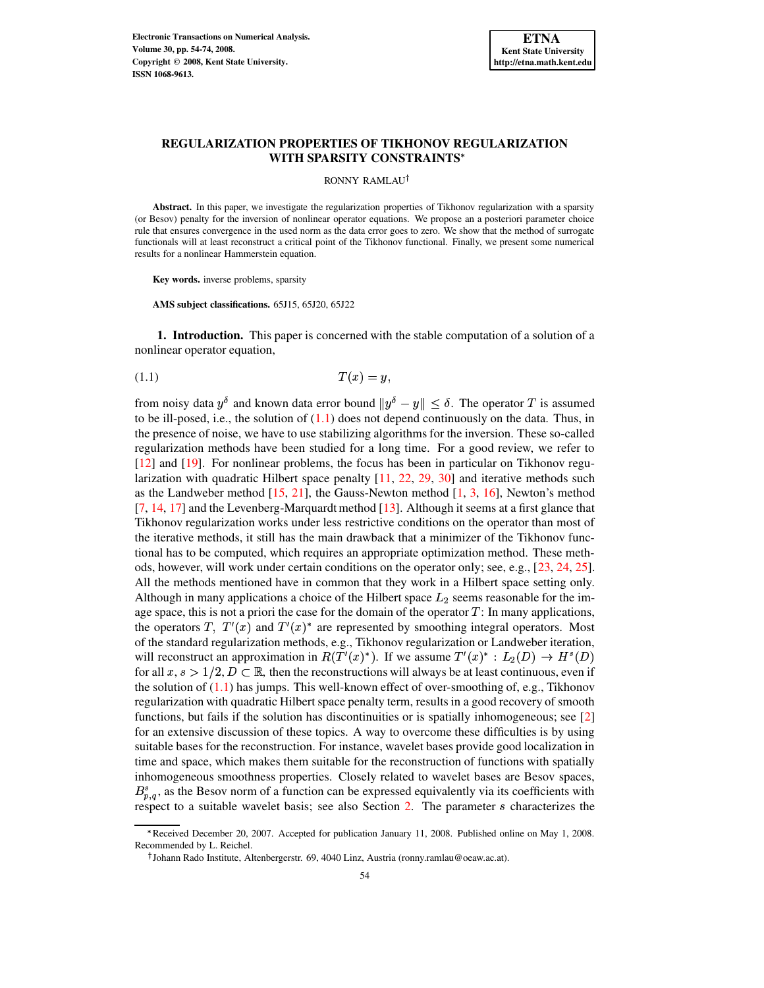# **REGULARIZATION PROPERTIES OF TIKHONOV REGULARIZATION WITH SPARSITY CONSTRAINTS**

RONNY RAMLAU<sup>†</sup>

**Abstract.** In this paper, we investigate the regularization properties of Tikhonov regularization with a sparsity (or Besov) penalty for the inversion of nonlinear operator equations. We propose an a posteriori parameter choice rule that ensures convergence in the used norm as the data error goes to zero. We show that the method of surrogate functionals will at least reconstruct a critical point of the Tikhonov functional. Finally, we present some numerical results for a nonlinear Hammerstein equation.

**Key words.** inverse problems, sparsity

<span id="page-0-0"></span>**AMS subject classifications.** 65J15, 65J20, 65J22

**1. Introduction.** This paper is concerned with the stable computation of a solution of a nonlinear operator equation,

 $(1.1)$  

from noisy data  $y^{\delta}$  and known data error bound  $||y^{\delta} - y|| \leq \delta$ . The operator T is assumed to be ill-posed, i.e., the solution of  $(1.1)$  does not depend continuously on the data. Thus, in the presence of noise, we have to use stabilizing algorithms for the inversion. These so-called regularization methods have been studied for a long time. For a good review, we refer to [\[12\]](#page-19-0) and [\[19\]](#page-19-1). For nonlinear problems, the focus has been in particular on Tikhonov regularization with quadratic Hilbert space penalty [\[11,](#page-19-2) [22,](#page-20-0) [29,](#page-20-1) [30\]](#page-20-2) and iterative methods such as the Landweber method  $[15, 21]$  $[15, 21]$  $[15, 21]$ , the Gauss-Newton method  $[1, 3, 16]$  $[1, 3, 16]$  $[1, 3, 16]$  $[1, 3, 16]$  $[1, 3, 16]$ , Newton's method [\[7,](#page-19-7) [14,](#page-19-8) [17\]](#page-19-9) and the Levenberg-Marquardt method [\[13\]](#page-19-10). Although it seems at a first glance that Tikhonov regularization works under less restrictive conditions on the operator than most of the iterative methods, it still has the main drawback that a minimizer of the Tikhonov functional has to be computed, which requires an appropriate optimization method. These methods, however, will work under certain conditions on the operator only; see, e.g., [\[23,](#page-20-4) [24,](#page-20-5) [25\]](#page-20-6). All the methods mentioned have in common that they work in a Hilbert space setting only. Although in many applications a choice of the Hilbert space  $L_2$  seems reasonable for the image space, this is not a priori the case for the domain of the operator  $T$ : In many applications, the operators T,  $T'(x)$  and  $T'(x)^*$  are represented by smoothing integral operators. Most of the standard regularization methods, e.g., Tikhonov regularization or Landweber iteration, will reconstruct an approximation in  $R(T'(x^*))$ . If we assume  $T'(x^*)^*$ :  $L_2(D) \to H^s(D)$ for all  $x, s > 1/2, D \subset \mathbb{R}$ , then the reconstructions will always be at least continuous, even if the solution of  $(1.1)$  has jumps. This well-known effect of over-smoothing of, e.g., Tikhonov regularization with quadratic Hilbert space penalty term, results in a good recovery of smooth functions, but fails if the solution has discontinuities or is spatially inhomogeneous; see [\[2\]](#page-19-11) for an extensive discussion of these topics. A way to overcome these difficulties is by using suitable bases for the reconstruction. For instance, wavelet bases provide good localization in time and space, which makes them suitable for the reconstruction of functions with spatially inhomogeneous smoothness properties. Closely related to wavelet bases are Besov spaces,  $B_{n,q}^s$ , as the Besov norm of a function can be expressed equivalently via its coefficients with respect to a suitable wavelet basis; see also Section [2.](#page-2-0) The parameter  $s$  characterizes the

<sup>B</sup> Received December 20, 2007. Accepted for publication January 11, 2008. Published online on May 1, 2008. Recommended by L. Reichel.

Johann Rado Institute, Altenbergerstr. 69, 4040 Linz, Austria (ronny.ramlau@oeaw.ac.at).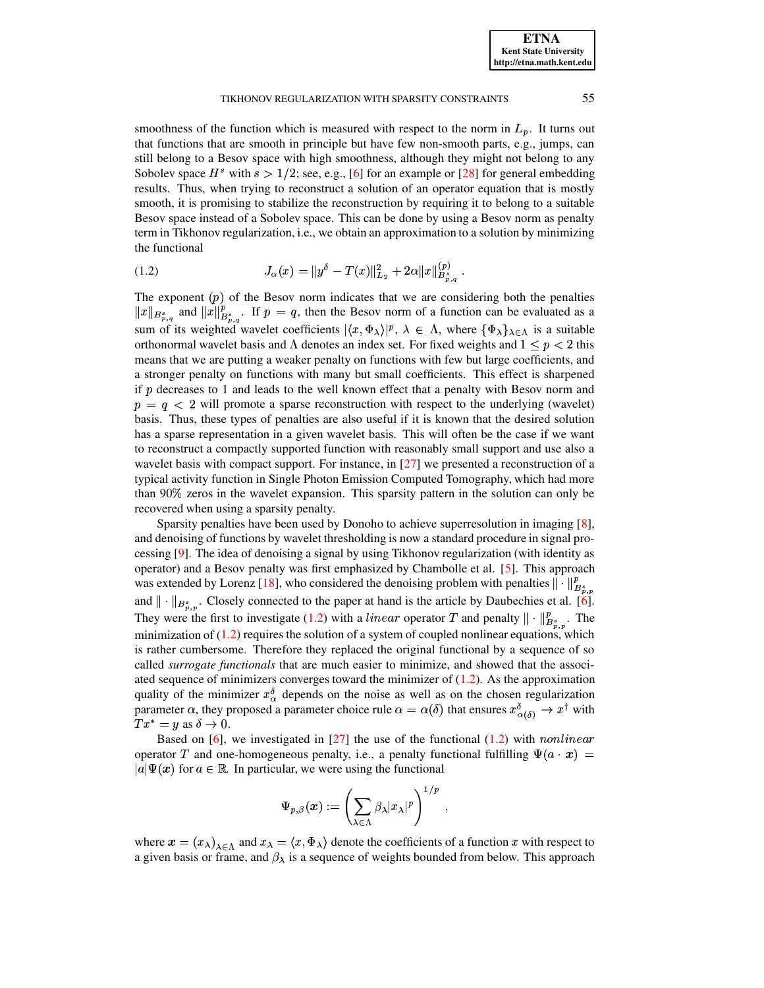smoothness of the function which is measured with respect to the norm in  $L_p$ . It turns out that functions that are smooth in principle but have few non-smooth parts, e.g., jumps, can still belong to a Besov space with high smoothness, although they might not belong to any Sobolev space  $H^s$  with  $s > 1/2$ ; see, e.g., [\[6\]](#page-19-12) for an example or [\[28\]](#page-20-7) for general embedding results. Thus, when trying to reconstruct a solution of an operator equation that is mostly smooth, it is promising to stabilize the reconstruction by requiring it to belong to a suitable Besov space instead of a Sobolev space. This can be done by using a Besov norm as penalty term in Tikhonov regularization, i.e., we obtain an approximation to a solution by minimizing the functional

<span id="page-1-0"></span>(1.2) 
$$
J_{\alpha}(x) = \|y^{\delta} - T(x)\|_{L_2}^2 + 2\alpha \|x\|_{B_{n,q}^s}^{(p)}.
$$

The exponent  $(p)$  of the Besov norm indicates that we are considering both the penalties  $||x||_{B_{n,q}^s}$  and  $||x||_{B_s}^p$ . If  $p = q$ , then the Besov norm of a function can be evaluated as a sum of its weighted wavelet coefficients  $|\langle x, \Phi_{\lambda} \rangle|^p$ ,  $\lambda \in \Lambda$ , where  $\{\Phi_{\lambda}\}_{\lambda \in \Lambda}$  is a suitable orthonormal wavelet basis and  $\Lambda$  denotes an index set. For fixed weights and  $1 \leq p < 2$  this means that we are putting a weaker penalty on functions with few but large coefficients, and a stronger penalty on functions with many but small coefficients. This effect is sharpened if  $p$  decreases to 1 and leads to the well known effect that a penalty with Besov norm and  $p = q < 2$  will promote a sparse reconstruction with respect to the underlying (wavelet) basis. Thus, these types of penalties are also useful if it is known that the desired solution has a sparse representation in a given wavelet basis. This will often be the case if we want to reconstruct a compactly supported function with reasonably small support and use also a wavelet basis with compact support. For instance, in [\[27\]](#page-20-8) we presented a reconstruction of a typical activity function in Single Photon Emission Computed Tomography, which had more than 90% zeros in the wavelet expansion. This sparsity pattern in the solution can only be recovered when using a sparsity penalty.

Sparsity penalties have been used by Donoho to achieve superresolution in imaging [\[8\]](#page-19-13), and denoising of functions by wavelet thresholding is now a standard procedure in signal processing [\[9\]](#page-19-14). The idea of denoising a signal by using Tikhonov regularization (with identity as operator) and a Besov penalty was first emphasized by Chambolle et al. [\[5\]](#page-19-15). This approach was extended by Lorenz [\[18\]](#page-19-16), who considered the denoising problem with penalties  $|| \cdot ||_{B_{n}^s}^p$ and  $\|\cdot\|_{B^s_{p,p}}$ . Closely connected to the paper at hand is the article by Daubechies et al. [\[6\]](#page-19-12). They were the first to investigate [\(1.2\)](#page-1-0) with a *linear* operator T and penalty  $\|\cdot\|_{B^s}^p$ . The minimization of  $(1.2)$  requires the solution of a system of coupled nonlinear equations, which is rather cumbersome. Therefore they replaced the original functional by a sequence of so called *surrogate functionals* that are much easier to minimize, and showed that the associated sequence of minimizers converges toward the minimizer of  $(1.2)$ . As the approximation quality of the minimizer  $x_{\alpha}^{\delta}$  depends on the noise as well as on the chosen regularization parameter  $\alpha$ , they proposed a parameter choice rule  $\alpha = \alpha(\delta)$  that ensures  $x^{\delta}(\delta) \to x^{\dagger}$  with  $Tx^* = y$  as  $\delta \to 0$ .

Based on [\[6\]](#page-19-12), we investigated in [\[27\]](#page-20-8) the use of the functional [\(1.2\)](#page-1-0) with *nonlinear* operator T and one-homogeneous penalty, i.e., a penalty functional fulfilling  $\Psi(a \cdot x) =$  $|a|\Psi(x)$  for  $a \in \mathbb{R}$ . In particular, we were using the functional

$$
\Psi_{p,\beta}(\boldsymbol{x}):=\left(\sum_{\lambda\in\Lambda}\beta_{\lambda}\vert x_{\lambda}\vert^{p}\right)^{1/p}\;,
$$

where  $x = (x_\lambda)_{\lambda \in \Lambda}$  and  $x_\lambda = \langle x, \Phi_\lambda \rangle$  denote the coefficients of a function x with respect to a given basis or frame, and  $\beta_{\lambda}$  is a sequence of weights bounded from below. This approach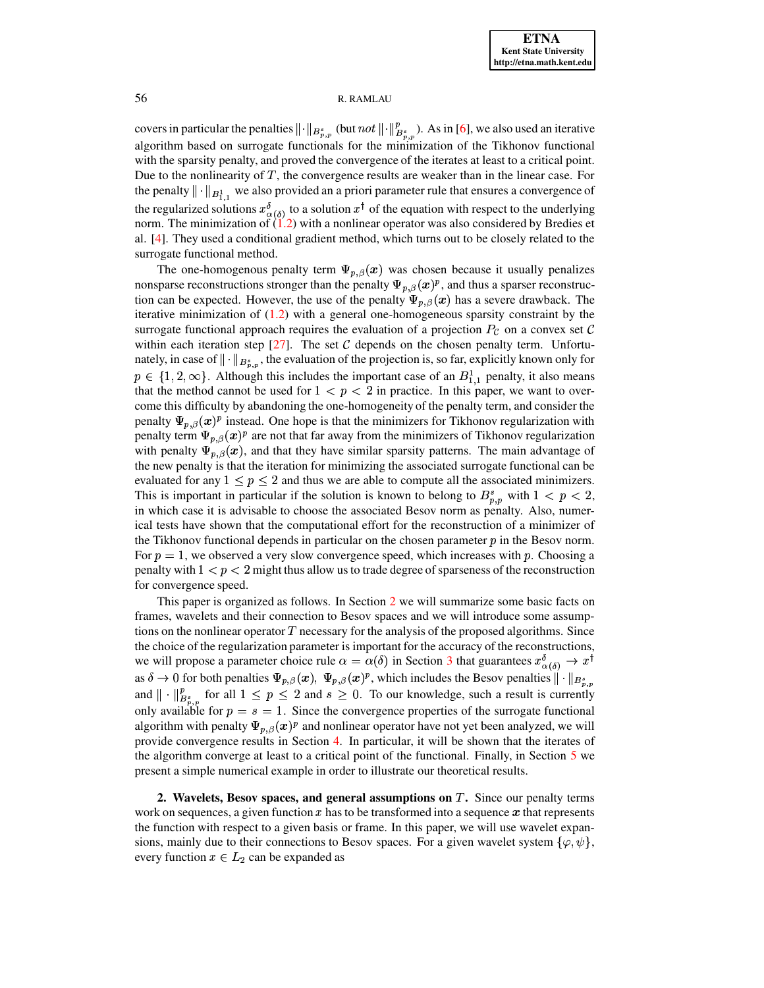covers in particular the penalties  $\|\cdot\|_{B^s_{2,n}}$  (but  $not \|\cdot\|_{B^s}^p$ ). As in [\[6\]](#page-19-12), we also used an iterative algorithm based on surrogate functionals for the minimization of the Tikhonov functional with the sparsity penalty, and proved the convergence of the iterates at least to a critical point. Due to the nonlinearity of  $T$ , the convergence results are weaker than in the linear case. For the penalty  $\|\cdot\|_{B^1}$ , we also provided an a priori parameter rule that ensures a convergence of the regularized solutions  $x^{\delta}$  to a solution  $x^{\dagger}$  of the equation with respect to the underlying norm. The minimization of  $(1.2)$  with a nonlinear operator was also considered by Bredies et al. [\[4\]](#page-19-17). They used a conditional gradient method, which turns out to be closely related to the surrogate functional method.

The one-homogenous penalty term  $\Psi_{p,\beta}(x)$  was chosen because it usually penalizes nonsparse reconstructions stronger than the penalty  $\Psi_{p,\beta}(\bm{x})^p$ , and thus a sparser reconstruction can be expected. However, the use of the penalty  $\Psi_{p,\beta}(x)$  has a severe drawback. The iterative minimization of  $(1.2)$  with a general one-homogeneous sparsity constraint by the surrogate functional approach requires the evaluation of a projection  $P_c$  on a convex set C within each iteration step  $[27]$ . The set C depends on the chosen penalty term. Unfortunately, in case of  $\|\cdot\|_{B^s_{p,q}}$ , the evaluation of the projection is, so far, explicitly known only for  $p \in \{1, 2, \infty\}$ . Although this includes the important case of an  $B_{1,1}^1$  penalty, it also means that the method cannot be used for  $1 < p < 2$  in practice. In this paper, we want to overcome this difficulty by abandoning the one-homogeneity of the penalty term, and consider the penalty  $\Psi_{p,\beta}(x)^p$  instead. One hope is that the minimizers for Tikhonov regularization with penalty term  $\Psi_{p,\beta}(x)^p$  are not that far away from the minimizers of Tikhonov regularization with penalty  $\Psi_{p,\beta}(x)$ , and that they have similar sparsity patterns. The main advantage of the new penalty is that the iteration for minimizing the associated surrogate functional can be evaluated for any  $1 \leq p \leq 2$  and thus we are able to compute all the associated minimizers. This is important in particular if the solution is known to belong to  $B_{p,p}^s$  with  $1 < p < 2$ , in which case it is advisable to choose the associated Besov norm as penalty. Also, numerical tests have shown that the computational effort for the reconstruction of a minimizer of the Tikhonov functional depends in particular on the chosen parameter  $p$  in the Besov norm. For  $p = 1$ , we observed a very slow convergence speed, which increases with p. Choosing a penalty with  $1 < p < 2$  might thus allow us to trade degree of sparseness of the reconstruction for convergence speed.

This paper is organized as follows. In Section [2](#page-2-0) we will summarize some basic facts on frames, wavelets and their connection to Besov spaces and we will introduce some assumptions on the nonlinear operator  $T$  necessary for the analysis of the proposed algorithms. Since the choice of the regularization parameter is important for the accuracy of the reconstructions, we will propose a parameter choice rule  $\alpha = \alpha(\delta)$  in Section [3](#page-4-0) that guarantees  $x_{\alpha(\delta)}^{\delta} \to x^{\dagger}$ as  $\delta \to 0$  for both penalties  $\Psi_{p,\beta}(x), \ \Psi_{p,\beta}(x)^p$ , which includes the Besov penalties  $\|\cdot\|_{B^s_{\infty}}$ and  $\| \cdot \|_{B^s}^p$  for all  $1 \leq p \leq 2$  and  $s \geq 0$ . To our knowledge, such a result is currently only available for  $p = s = 1$ . Since the convergence properties of the surrogate functional algorithm with penalty  $\Psi_{p,\beta}(x)^p$  and nonlinear operator have not yet been analyzed, we will provide convergence results in Section [4.](#page-8-0) In particular, it will be shown that the iterates of the algorithm converge at least to a critical point of the functional. Finally, in Section [5](#page-15-0) we present a simple numerical example in order to illustrate our theoretical results.

<span id="page-2-0"></span>**2.** Wavelets, Besov spaces, and general assumptions on T. Since our penalty terms work on sequences, a given function  $x$  has to be transformed into a sequence  $x$  that represents the function with respect to a given basis or frame. In this paper, we will use wavelet expansions, mainly due to their connections to Besov spaces. For a given wavelet system  $\{\varphi, \psi\}$ , every function  $x \in L_2$  can be expanded as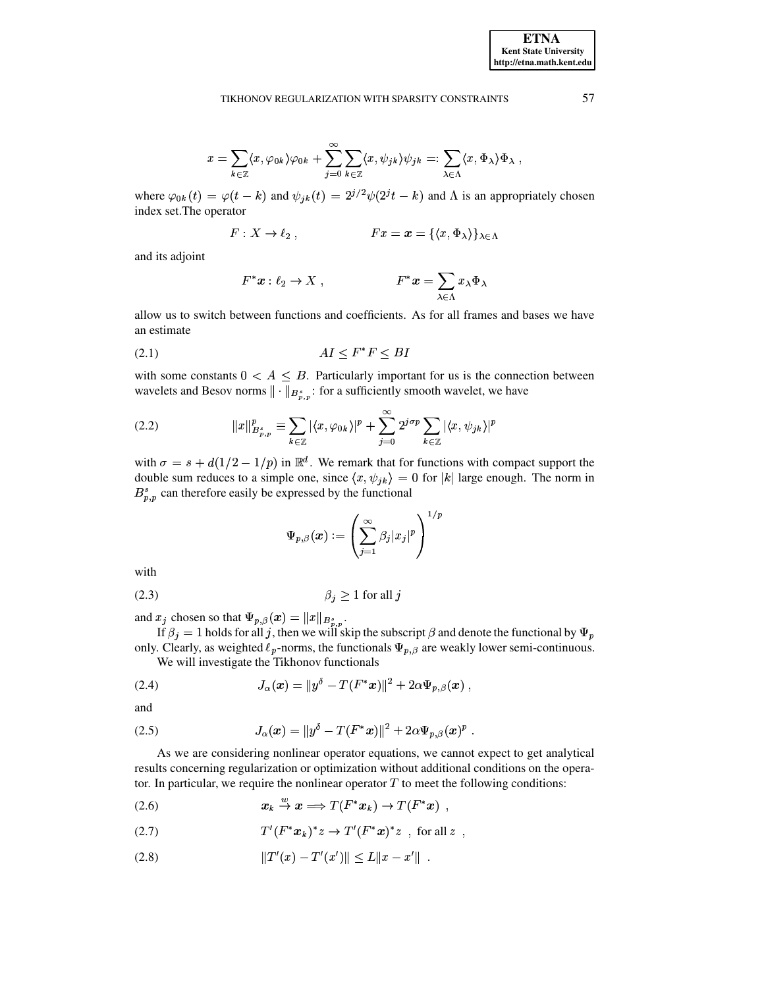$$
x = \sum_{k \in \mathbb{Z}} \langle x, \varphi_{0k} \rangle \varphi_{0k} + \sum_{j=0}^{\infty} \sum_{k \in \mathbb{Z}} \langle x, \psi_{jk} \rangle \psi_{jk} =: \sum_{\lambda \in \Lambda} \langle x, \Phi_{\lambda} \rangle \Phi_{\lambda}
$$

where  $\varphi_{0k}(t) = \varphi(t - k)$  and  $\psi_{jk}(t) = 2^{j/2}\psi(2^{j}t - k)$  and  $\Lambda$  is an appropriately chosen index set. The operator

$$
F: X \to \ell_2 , \qquad Fx = x = \{ \langle x, \Phi_\lambda \rangle \}_{\lambda \in \Lambda}
$$

and its adjoint

$$
F^*x:\ell_2\to X\;, \qquad \qquad F^*x=\sum_{\lambda\in\Lambda}x_\lambda\Phi_\lambda\;.
$$

<span id="page-3-1"></span>allow us to switch between functions and coefficients. As for all frames and bases we have an estimate

$$
(2.1)\quad \ \ \, AI \leq F^*F \leq BI
$$

with some constants  $0 \lt A \leq B$ . Particularly important for us is the connection between wavelets and Besov norms  $\|\cdot\|_{B_{n,n}^s}$ : for a sufficiently smooth wavelet, we have

(2.2) 
$$
||x||_{B_{p,p}^s}^p \equiv \sum_{k \in \mathbb{Z}} |\langle x, \varphi_{0k} \rangle|^p + \sum_{j=0}^{\infty} 2^{j\sigma p} \sum_{k \in \mathbb{Z}} |\langle x, \psi_{jk} \rangle|^p
$$

with  $\sigma = s + d(1/2 - 1/p)$  in  $\mathbb{R}^d$ . We remark that for functions with compact support the double sum reduces to a simple one, since  $\langle x, \psi_{jk} \rangle = 0$  for  $|k|$  large enough. The norm in  $B_{p,p}^s$  can therefore easily be expressed by the functional

<span id="page-3-5"></span>
$$
\Psi_{p,\beta}(\boldsymbol{x}):=\left(\sum_{j=1}^{\infty}\beta_j|x_j|^p\right)^{1/p}
$$

<span id="page-3-2"></span>with

$$
\beta_j \ge 1 \text{ for all } j
$$

and  $x_j$  chosen so that  $\Psi_{p,\beta}(x) = ||x||_{B^s_{p,p}}$ .

If  $\beta_j = 1$  holds for all j, then we will skip the subscript  $\beta$  and denote the functional by  $\Psi_p$ only. Clearly, as weighted  $\ell_p$ -norms, the functionals  $\Psi_{p,\beta}$  are weakly lower semi-continuous.

<span id="page-3-3"></span>We will investigate the Tikhonov functionals

(2.4) 
$$
J_{\alpha}(\bm{x}) = ||y^{\delta} - T(F^* \bm{x})||^2 + 2\alpha \Psi_{p,\beta}(\bm{x}),
$$

<span id="page-3-4"></span>and

(2.5) 
$$
J_{\alpha}(\bm{x}) = ||y^{\delta} - T(F^* \bm{x})||^2 + 2\alpha \Psi_{p,\beta}(\bm{x})^p.
$$

As we are considering nonlinear operator equations, we cannot expect to get analytical results concerning regularization or optimization without additional conditions on the operator. In particular, we require the nonlinear operator  $T$  to meet the following conditions:

<span id="page-3-0"></span>
$$
(2.6) \t x_k \stackrel{w}{\to} x \Longrightarrow T(F^*x_k) \to T(F^*x)
$$

$$
(2.7) \tT'(F^*x_k)^*z \to T'(F^*x)^*z \text{ , for all } z
$$

$$
||T'(x) - T'(x')|| \le L||x - x'||.
$$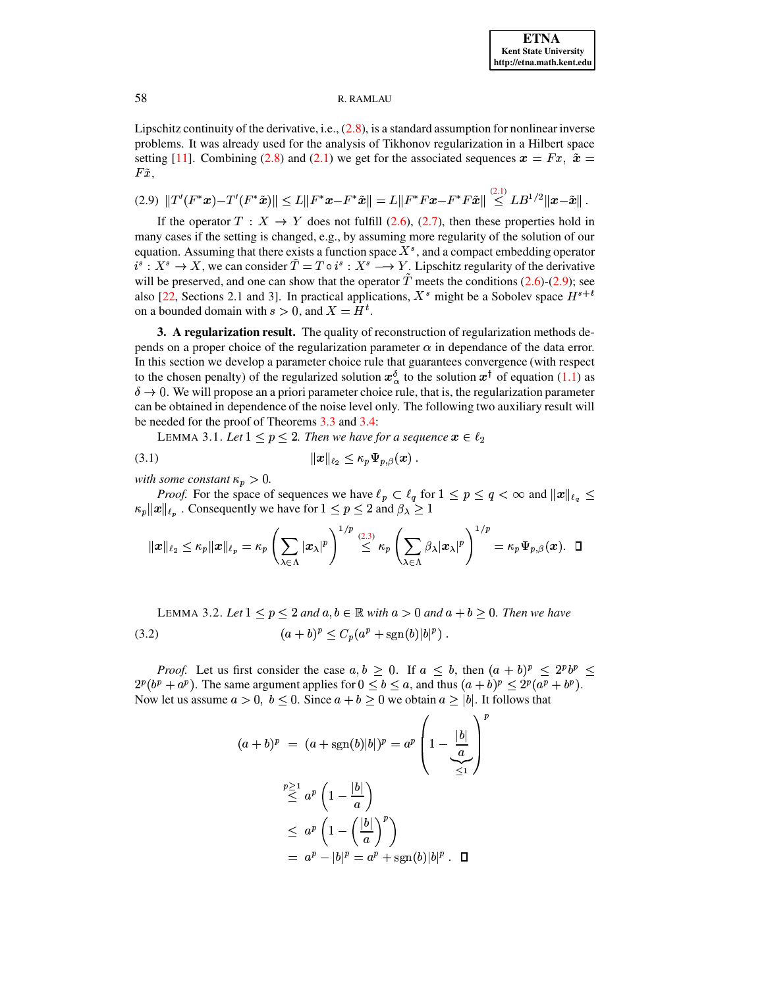Lipschitz continuity of the derivative, i.e., [\(2.8\)](#page-3-0), is a standard assumption for nonlinear inverse problems. It was already used for the analysis of Tikhonov regularization in a Hilbert space problems. It was already used for the analysis of Tikhonov regularization in a Hilbert space<br>setting [\[11\]](#page-19-2). Combining [\(2.8\)](#page-3-0) and [\(2.1\)](#page-3-1) we get for the associated sequences  $x = Fx$ ,  $\tilde{x} =$  $F\tilde{x}$ ,

<span id="page-4-1"></span>
$$
(2.9)\,\, \|T'(F^*x)-T'(F^*\tilde{x})\| \leq L\|F^*x-F^*\tilde{x}\| = L\|F^*Fx-F^*F\tilde{x}\| \stackrel{(2.1)}{\leq} LB^{1/2}\|x-\tilde{x}\|.
$$

If the operator  $T : X \to Y$  does not fulfill [\(2.6\)](#page-3-0), [\(2.7\)](#page-3-0), then these properties hold in many cases if the setting is changed, e.g., by assuming more regularity of the solution of our equation. Assuming that there exists a function space  $X<sup>s</sup>$ , and a compact embedding operator  $i^s: X^s \to X$ , we can consider  $T = T \circ i^s: X^s \to Y$ . Lipschitz regularity of the derivative will be preserved, and one can show that the operator  $T$  meets the conditions [\(2.6\)](#page-3-0)-[\(2.9\)](#page-4-1); see also [\[22,](#page-20-0) Sections 2.1 and 3]. In practical applications,  $X^s$  might be a Sobolev space  $H^{s+t}$ on a bounded domain with  $s > 0$ , and  $X = H<sup>t</sup>$ .

<span id="page-4-0"></span>**3. A regularization result.** The quality of reconstruction of regularization methods depends on a proper choice of the regularization parameter  $\alpha$  in dependance of the data error. In this section we develop a parameter choice rule that guarantees convergence (with respect to the chosen penalty) of the regularized solution  $x_0^{\delta}$  to the solution  $x^{\dagger}$  of equation [\(1.1\)](#page-0-0) as  $\delta \rightarrow 0$ . We will propose an a priori parameter choice rule, that is, the regularization parameter can be obtained in dependence of the noise level only. The following two auxiliary result will be needed for the proof of Theorems [3.3](#page-5-0) and [3.4:](#page-7-0)

<span id="page-4-2"></span>LEMMA 3.1. Let  $1 \leq p \leq 2$ . Then we have for a sequence  $x \in \ell_2$ 

(3.1) Là <sup>P</sup> £á? ?7@ 

*with some constant*  $\kappa_p > 0$ .

*Proof.* For the space of sequences we have  $\ell_p \subset \ell_q$  for  $1 \leq p \leq q < \infty$  and  $||x||_{\ell_q} \leq$  $\kappa_p ||x||_{\ell_p}$  . Consequently we have for  $1\leq p\leq 2$  and  $\beta_\lambda\geq 1$ 

$$
\|x\|_{\ell_2}\leq \kappa_p\|x\|_{\ell_p}=\kappa_p\left(\sum_{\lambda\in\Lambda}|x_\lambda|^p\right)^{1/p}\stackrel{(2.3)}{\leq}\kappa_p\left(\sum_{\lambda\in\Lambda}\beta_\lambda|x_\lambda|^p\right)^{1/p}=\kappa_p\Psi_{p,\beta}(x).\quad \Box
$$

LEMMA 3.2. Let  $1 \leq p \leq 2$  and  $a, b \in \mathbb{R}$  with  $a > 0$  and  $a + b \geq 0$ . Then we have (3.2)  $(a+b)^p \leq C_p(a^p + \text{sgn}(b)|b|^p)$ .

*Proof.* Let us first consider the case  $a, b \ge 0$ . If  $a \le b$ , then  $(a + b)^p \le 2^p b^p \le$  $2^p(b^p + a^p)$ . The same argument applies for  $0 \le b \le a$ , and thus  $(a + b)^p \le 2^p(a^p + b^p)$ . Now let us assume  $a > 0$ ,  $b \le 0$ . Since  $a + b \ge 0$  we obtain  $a \ge |b|$ . It follows that

<span id="page-4-3"></span>
$$
(a+b)^p = (a + sgn(b)|b|)^p = a^p \left(1 - \frac{|b|}{a}\right)^p
$$
  

$$
\stackrel{p \ge 1}{\le} a^p \left(1 - \frac{|b|}{a}\right)
$$
  

$$
\le a^p \left(1 - \left(\frac{|b|}{a}\right)^p\right)
$$
  

$$
= a^p - |b|^p = a^p + sgn(b)|b|^p . \quad \Box
$$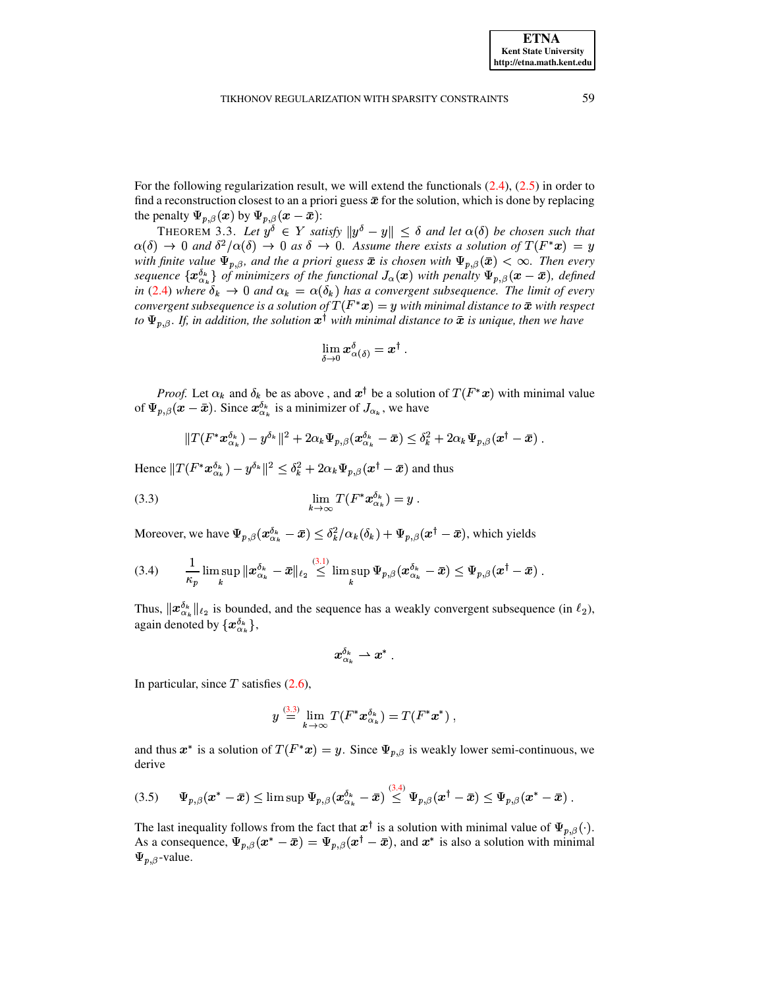For the following regularization result, we will extend the functionals [\(2.4\)](#page-3-3), [\(2.5\)](#page-3-4) in order to find a reconstruction closest to an a priori guess  $\bar{x}$  for the solution, which is done by replacing the penalty  $\Psi_{p,\beta}(\bm{x})$  by  $\Psi_{p,\beta}(\bm{x}-\bar{\bm{x}})$ :

<span id="page-5-0"></span>THEOREM 3.3. Let  $y^{\delta} \in Y$  satisfy  $||y^{\delta} - y|| \leq \delta$  and let  $\alpha(\delta)$  be chosen such that  $\rightarrow 0$  and  $\delta^2/\alpha(\delta) \rightarrow 0$  as  $\delta \rightarrow 0$ . Assume there exists a solution of  $T(F^*x) = y$  $\alpha(\delta) \to 0$  and  $\delta^2/\alpha(\delta) \to 0$  as  $\delta \to 0$ . Assume there exists a solution of  $T(F^*x) = y$ *with finite value*  $\Psi_{p,\beta}$ *, and the a priori guess*  $\bar{x}$  *is chosen with*  $\Psi_{p,\beta}(\bar{x}) < \infty$ *. Then every* sequence  $\{x_{\alpha_k}^{\delta_k}\}$  of minimizers of the functional  $J_\alpha(x)$  with penalty  $\Psi_{p,\beta}(x-\bar{x})$ , defined *in* [\(2.4\)](#page-3-3) where  $\delta_k \to 0$  and  $\alpha_k = \alpha(\delta_k)$  has a convergent subsequence. The limit of every in (2.4) where  $\delta_k \to 0$  and  $\alpha_k = \alpha(\delta_k)$  has a convergent subsequence. The limit of every convergent subsequence is a solution of  $T(F^*x) = y$  with minimal distance to  $\bar{x}$  with respect *to*  $\Psi_{p,\beta}$ . If, in addition, the solution  $x^{\dagger}$  with minimal distance to  $\bar{x}$  is unique, then we have

<span id="page-5-1"></span>
$$
\lim_{\delta\to 0} \bm{x}^\delta_{\alpha(\delta)} = \bm{x}^\dagger~.
$$

*Proof.* Let  $\alpha_k$  and  $\delta_k$  be as above, and  $x^{\dagger}$  be a solution of  $T(F^*x)$  with minimal value of  $\Psi_{p,\beta}(\bm{x}-\bar{\bm{x}})$ . Since  $\bm{x}_{\alpha_k}^{\delta_k}$  is a minimizer of  $J_{\alpha_k}$ , we have

$$
||T(F^*x_{\alpha_k}^{\delta_k}) - y^{\delta_k}||^2 + 2\alpha_k \Psi_{p,\beta}(x_{\alpha_k}^{\delta_k} - \bar{x}) \leq \delta_k^2 + 2\alpha_k \Psi_{p,\beta}(x^{\dagger} - \bar{x}).
$$

Hence  $||T(F^*\bm{x}_{\alpha_k}^{\delta_k}) - y^{\delta_k}||^2 \leq \delta_k^2 + 2\alpha_k \Psi_{p,\beta}(\bm{x}^\dagger - \bar{\bm{x}})$  and thus

(3.3) 
$$
\lim_{k \to \infty} T(F^* \boldsymbol{x}_{\alpha_k}^{\delta_k}) = y.
$$

Moreover, we have  $\Psi_{p,\beta}(x_{\alpha_k}^{\delta_k}-\bar{x})\leq \delta_k^2/\alpha_k(\delta_k)+\Psi_{p,\beta}(x^\dagger-\bar{x}),$  which yields

$$
(3.4) \qquad \frac{1}{\kappa_p}\limsup_k \|x^{\delta_k}_{\alpha_k}-\bar{x}\|_{\ell_2}\overset{(3.1)}{\leq} \limsup_k \Psi_{p,\beta}(x^{\delta_k}_{\alpha_k}-\bar{x})\leq \Psi_{p,\beta}(x^\dagger-\bar{x})\ .
$$

Thus,  $\|\mathbf{x}_{\alpha_k}^{\delta_k}\|_{\ell_2}$  is bounded, and the sequence has a weakly convergent subsequence (in  $\ell_2$ ), again denoted by  $\{x_{\alpha_k}^{\delta_k}\},$ 

<span id="page-5-2"></span>
$$
x_{\alpha_k}^{\delta_k} \rightharpoonup x^* \; .
$$

In particular, since  $T$  satisfies [\(2.6\)](#page-3-0),

$$
y\stackrel{(3.3)}{=}\lim_{k\rightarrow\infty}T(F^*{\boldsymbol{x}}_{\alpha_k}^{\delta_k})=T(F^*{\boldsymbol{x}}^*)\ ,
$$

<span id="page-5-3"></span>and thus  $x^*$  is a solution of  $T(F^*x) = y$ . Since  $\Psi_{p,\beta}$  is weakly lower semi-continuous, we derive

$$
(3.5) \qquad \Psi_{p,\beta}(\boldsymbol{x}^* - \bar{\boldsymbol{x}}) \leq \limsup \Psi_{p,\beta}(\boldsymbol{x}_{\alpha_k}^{\delta_k} - \bar{\boldsymbol{x}}) \overset{(3.4)}{\leq} \Psi_{p,\beta}(\boldsymbol{x}^\dagger - \bar{\boldsymbol{x}}) \leq \Psi_{p,\beta}(\boldsymbol{x}^* - \bar{\boldsymbol{x}}) .
$$

The last inequality follows from the fact that  $x^{\dagger}$  is a solution with minimal value of  $\Psi_{p,\beta}(\cdot)$ . As a consequence,  $\Psi_{p,\beta}(x^* - \bar{x}) = \Psi_{p,\beta}(x^{\dagger} - \bar{x})$ , and  $x^*$  is also a solution with minimal  $\Psi_{p,\beta}$ -value.

**ETNA Kent State University http://etna.math.kent.edu**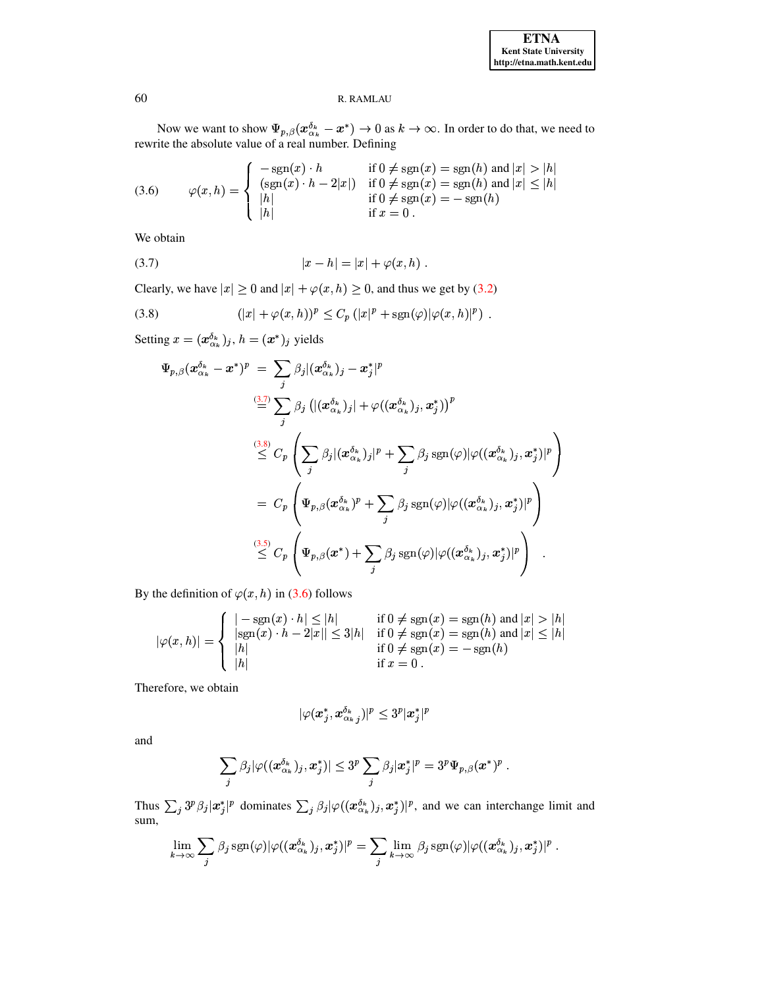Now we want to show  $\Psi_{p,\beta}(\mathbf{x}_{\alpha_k}^{\delta_k} - \mathbf{x}^*) \to 0$  as  $k \to \infty$ . In order to do that, we need to rewrite the absolute value of a real number. Defining

<span id="page-6-2"></span>(3.6) 
$$
\varphi(x,h) = \begin{cases}\n-\text{sgn}(x) \cdot h & \text{if } 0 \neq \text{sgn}(x) = \text{sgn}(h) \text{ and } |x| > |h| \\
(\text{sgn}(x) \cdot h - 2|x|) & \text{if } 0 \neq \text{sgn}(x) = \text{sgn}(h) \text{ and } |x| \leq |h| \\
|h| & \text{if } 0 \neq \text{sgn}(x) = -\text{sgn}(h) \\
\text{if } x = 0.\n\end{cases}
$$

<span id="page-6-0"></span>We obtain

(3.7) 
$$
|x - h| = |x| + \varphi(x, h) .
$$

Clearly, we have  $|x| \ge 0$  and  $|x| + \varphi(x, h) \ge 0$ , and thus we get by (3.2)

(3.8) 
$$
(|x| + \varphi(x, h))^p \leq C_p (|x|^p + \operatorname{sgn}(\varphi)|\varphi(x, h)|^p)
$$

Setting  $x = (x_{\alpha_k}^{\delta_k})_j$ ,  $h = (x^*)_j$  yields

<span id="page-6-1"></span>
$$
\Psi_{p,\beta}(\boldsymbol{x}_{\alpha_{k}}^{\delta_{k}}-\boldsymbol{x}^{*})^{p} = \sum_{j} \beta_{j} |(\boldsymbol{x}_{\alpha_{k}}^{\delta_{k}})_{j}-\boldsymbol{x}_{j}^{*}|^{p}
$$
\n
$$
\stackrel{(3.7)}{=} \sum_{j} \beta_{j} |((\boldsymbol{x}_{\alpha_{k}}^{\delta_{k}})_{j}|+\varphi((\boldsymbol{x}_{\alpha_{k}}^{\delta_{k}})_{j},\boldsymbol{x}_{j}^{*}))^{p}
$$
\n
$$
\stackrel{(3.8)}{\leq} C_{p} \left( \sum_{j} \beta_{j} |(\boldsymbol{x}_{\alpha_{k}}^{\delta_{k}})_{j}|^{p} + \sum_{j} \beta_{j} \operatorname{sgn}(\varphi) |\varphi((\boldsymbol{x}_{\alpha_{k}}^{\delta_{k}})_{j},\boldsymbol{x}_{j}^{*})|^{p} \right)
$$
\n
$$
= C_{p} \left( \Psi_{p,\beta}(\boldsymbol{x}_{\alpha_{k}}^{\delta_{k}})^{p} + \sum_{j} \beta_{j} \operatorname{sgn}(\varphi) |\varphi((\boldsymbol{x}_{\alpha_{k}}^{\delta_{k}})_{j},\boldsymbol{x}_{j}^{*})|^{p} \right)
$$
\n
$$
\stackrel{(3.5)}{\leq} C_{p} \left( \Psi_{p,\beta}(\boldsymbol{x}^{*}) + \sum_{j} \beta_{j} \operatorname{sgn}(\varphi) |\varphi((\boldsymbol{x}_{\alpha_{k}}^{\delta_{k}})_{j},\boldsymbol{x}_{j}^{*})|^{p} \right).
$$

By the definition of  $\varphi(x, h)$  in (3.6) follows

$$
|\varphi(x,h)| = \begin{cases} |-\text{sgn}(x) \cdot h| \le |h| & \text{if } 0 \ne \text{sgn}(x) = \text{sgn}(h) \text{ and } |x| > |h| \\ |\text{sgn}(x) \cdot h - 2|x|| \le 3|h| & \text{if } 0 \ne \text{sgn}(x) = \text{sgn}(h) \text{ and } |x| \le |h| \\ |h| & \text{if } 0 \ne \text{sgn}(x) = -\text{sgn}(h) \\ |h| & \text{if } x = 0 \end{cases}
$$

Therefore, we obtain

$$
|\varphi(x_j^*,x_{\alpha_{k\cdot j}}^{\delta_k})|^p\leq 3^p|x_j^*|^p
$$

and

$$
\sum_j \beta_j |\varphi((\boldsymbol{x}_{\alpha_k}^{\delta_k})_j, \boldsymbol{x}_j^*)| \leq 3^p \sum_j \beta_j |\boldsymbol{x}_j^*|^p = 3^p \Psi_{p,\beta}(\boldsymbol{x}^*)^p.
$$

Thus  $\sum_j 3^p \beta_j |x_j^*|^p$  dominates  $\sum_j \beta_j |\varphi((x_{\alpha_k}^{\delta_k})_j, x_j^*)|^p$ , and we can interchange limit and sum,

$$
\lim_{k\to\infty}\sum_j \beta_j\, \text{sgn}(\varphi)|\varphi((\boldsymbol{x}_{\alpha_k}^{\delta_k})_j,\boldsymbol{x}_j^*)|^p=\sum_j \lim_{k\to\infty} \beta_j\, \text{sgn}(\varphi)|\varphi((\boldsymbol{x}_{\alpha_k}^{\delta_k})_j,\boldsymbol{x}_j^*)|^p\,.
$$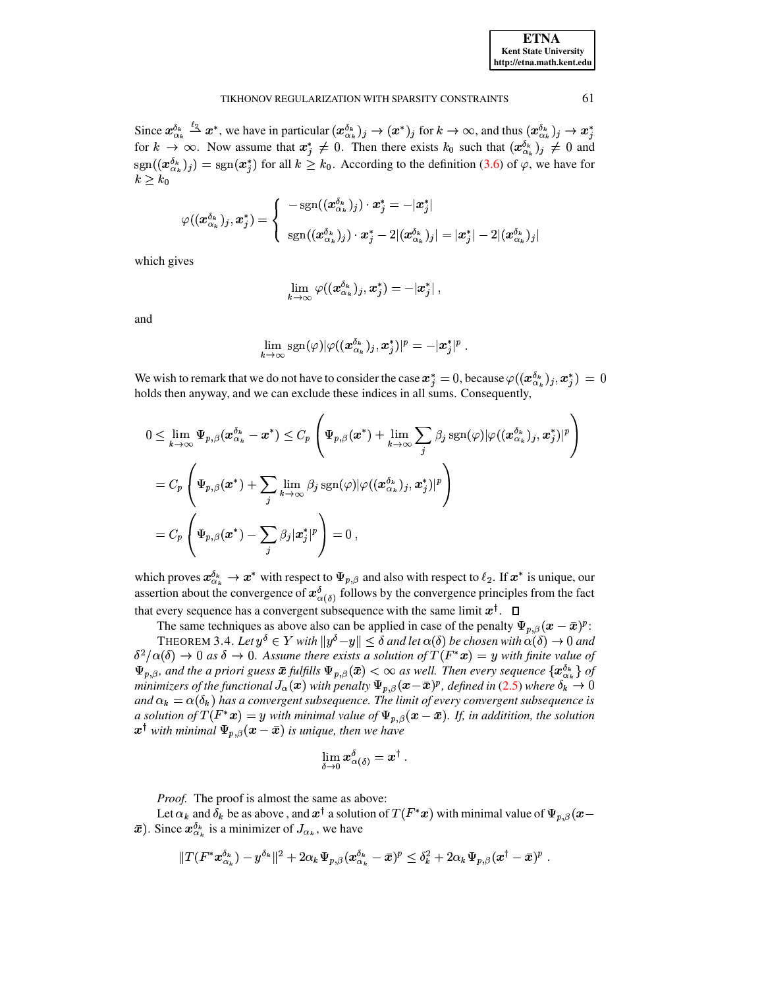| <b>ETNA</b>                  |
|------------------------------|
| <b>Kent State University</b> |
| http://etna.math.kent.edu    |

Since  $x_{\alpha_k}^{\delta_k} \xrightarrow{\ell_2} x^*$ , we have in particular  $(x_{\alpha_k}^{\delta_k})_j \to (x^*)_j$  for  $k \to \infty$ , and thus  $(x_{\alpha_k}^{\delta_k})_j \to x^*_j$ for  $k \to \infty$ . Now assume that  $x_i^* \neq 0$ . Then there exists  $k_0$  such that  $(x_{\alpha_k}^{\delta_k})_j \neq 0$  and  $sgn((\mathbf{x}_{\alpha_k}^{\delta_k})_j) = sgn(\mathbf{x}_j^*)$  for all  $k \geq k_0$ . According to the definition (3.6) of  $\varphi$ , we have for  $k\geq k_0$ 

$$
\varphi((\boldsymbol{x}_{\alpha_k}^{\delta_k})_j,\boldsymbol{x}_j^*)=\left\{\begin{array}{c}-\text{sgn}((\boldsymbol{x}_{\alpha_k}^{\delta_k})_j)\cdot \boldsymbol{x}_j^*=-|\boldsymbol{x}_j^*|\\\text{sgn}((\boldsymbol{x}_{\alpha_k}^{\delta_k})_j)\cdot \boldsymbol{x}_j^*-2|(\boldsymbol{x}_{\alpha_k}^{\delta_k})_j|=|\boldsymbol{x}_j^*|-2|(\boldsymbol{x}_{\alpha_k}^{\delta_k})_j|\end{array}\right.
$$

which gives

$$
\lim_{k\to\infty}\varphi((\boldsymbol{x}_{\alpha_k}^{\delta_k})_j,\boldsymbol{x}_j^*)=-|\boldsymbol{x}_j^*|\ ,
$$

and

$$
\lim_{k\to\infty}{\rm sgn}(\varphi)|\varphi((\boldsymbol{x}_{\alpha_k}^{\delta_k})_j,\boldsymbol{x}_j^*)|^p=-|\boldsymbol{x}_j^*|^p\ .
$$

We wish to remark that we do not have to consider the case  $x_i^* = 0$ , because  $\varphi((x_{\alpha_k}^{\delta_k})_i, x_i^*) = 0$ holds then anyway, and we can exclude these indices in all sums. Consequently,

$$
0 \leq \lim_{k \to \infty} \Psi_{p,\beta}(\boldsymbol{x}_{\alpha_k}^{\delta_k} - \boldsymbol{x}^*) \leq C_p \left( \Psi_{p,\beta}(\boldsymbol{x}^*) + \lim_{k \to \infty} \sum_j \beta_j \operatorname{sgn}(\varphi) |\varphi((\boldsymbol{x}_{\alpha_k}^{\delta_k})_j, \boldsymbol{x}_j^*)|^p \right)
$$
  
=  $C_p \left( \Psi_{p,\beta}(\boldsymbol{x}^*) + \sum_j \lim_{k \to \infty} \beta_j \operatorname{sgn}(\varphi) |\varphi((\boldsymbol{x}_{\alpha_k}^{\delta_k})_j, \boldsymbol{x}_j^*)|^p \right)$   
=  $C_p \left( \Psi_{p,\beta}(\boldsymbol{x}^*) - \sum_j \beta_j |\boldsymbol{x}_j^*|^p \right) = 0$ ,

which proves  $x_{\alpha_k}^{\delta_k} \to x^*$  with respect to  $\Psi_{p,\beta}$  and also with respect to  $\ell_2$ . If  $x^*$  is unique, our assertion about the convergence of  $x_{\alpha(\delta)}^{\delta}$  follows by the convergence principles from the fact that every sequence has a convergent subsequence with the same limit  $x^{\dagger}$ .  $\Box$ 

The same techniques as above also can be applied in case of the penalty  $\Psi_{p,\beta}(x-\bar{x})^p$ :

<span id="page-7-0"></span>THEOREM 3.4. Let  $y^{\delta} \in Y$  with  $||y^{\delta} - y|| \leq \delta$  and let  $\alpha(\delta)$  be chosen with  $\alpha(\delta) \to 0$  and  $\delta^2/\alpha(\delta) \to 0$  as  $\delta \to 0$ . Assume there exists a solution of  $T(F^*x) = y$  with finite value of  $\Psi_{p,\beta}$ , and the a priori guess  $\bar{x}$  fulfills  $\Psi_{p,\beta}(\bar{x}) < \infty$  as well. Then every sequence  $\{x_{\alpha_k}^{\delta_k}\}$  of minimizers of the functional  $J_\alpha(x)$  with penalty  $\Psi_{p,\beta}(x-\bar{x})^p$ , defined in (2.5) where  $\delta_k \to 0$ and  $\alpha_k = \alpha(\delta_k)$  has a convergent subsequence. The limit of every convergent subsequence is a solution of  $T(F^*x) = y$  with minimal value of  $\Psi_{p,\beta}(x-\bar{x})$ . If, in additition, the solution  $\mathbf{x}^{\dagger}$  with minimal  $\Psi_{p,\beta}(\mathbf{x}-\bar{\mathbf{x}})$  is unique, then we have

$$
\lim_{\delta\to 0} \bm{x}^\delta_{\alpha(\delta)} = \bm{x}^\dagger\ .
$$

Proof. The proof is almost the same as above:

Let  $\alpha_k$  and  $\delta_k$  be as above, and  $x^{\dagger}$  a solution of  $T(F^*x)$  with minimal value of  $\Psi_{p,\beta}(x)$  $\bar{x}$ ). Since  $x_{\alpha_k}^{\delta_k}$  is a minimizer of  $J_{\alpha_k}$ , we have

$$
||T(F^*x_{\alpha_k}^{\delta_k}) - y^{\delta_k}||^2 + 2\alpha_k \Psi_{p,\beta}(x_{\alpha_k}^{\delta_k} - \bar{x})^p \leq \delta_k^2 + 2\alpha_k \Psi_{p,\beta}(x^{\dagger} - \bar{x})^p.
$$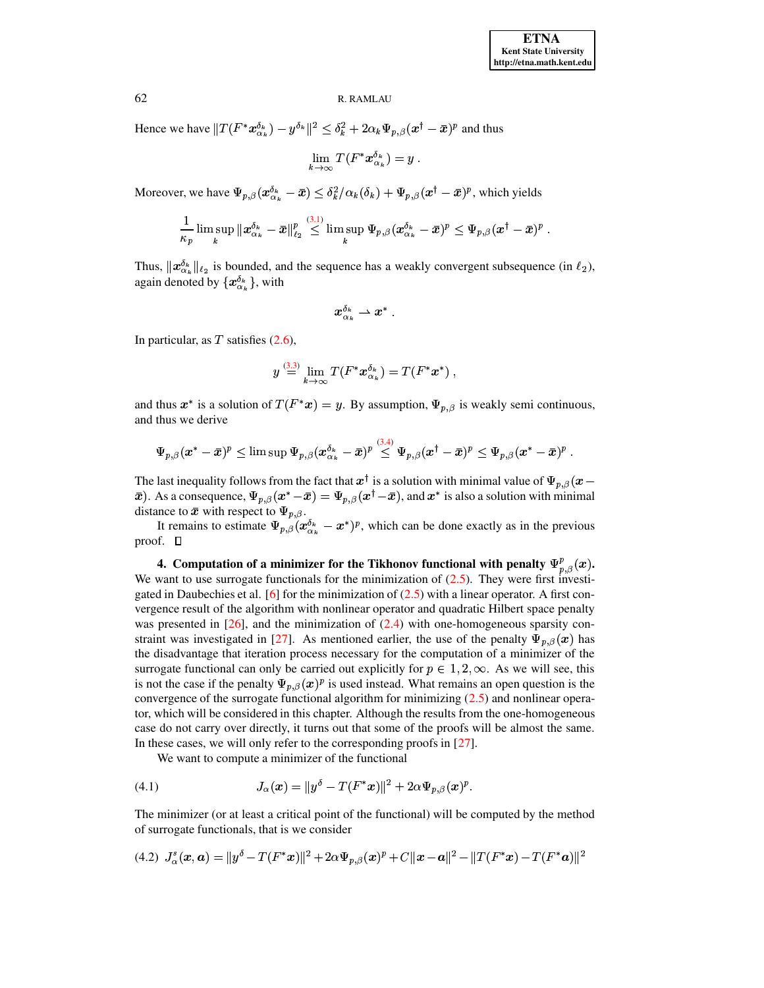Hence we have  $||T(F^*x_{\alpha_k}^{\delta_k}) - y^{\delta_k}||^2 \leq \delta_k^2 + 2\alpha_k \Psi_{p,\beta}(x^\dagger - \bar{x})^p$  and thus

$$
\lim_{k\to\infty} T(F^*x_{\alpha_k}^{\delta_k})=y\ .
$$

Moreover, we have  $\Psi_{p,\beta}(x_{\alpha_k}^{a_k} - \bar{x}) \leq \delta_k^2/\alpha_k(\delta_k) + \Psi_{p,\beta}(x^{\dagger} - \bar{x})^p$ , which yields

$$
\frac{1}{\kappa_p}\limsup_k\|x_{\alpha_k}^{\delta_k}-\bar x\|_{\ell_2}^p\overset{(3.1)}{\leq}\limsup_k\Psi_{p,\beta}(x_{\alpha_k}^{\delta_k}-\bar x)^p\leq\Psi_{p,\beta}(x^\dagger-\bar x)^p\;.
$$

Thus,  $\|\mathbf{x}_{\alpha_k}^{\delta_k}\|_{\ell_2}$  is bounded, and the sequence has a weakly convergent subsequence (in  $\ell_2$ ), again denoted by  $\{x_{\alpha_k}^{\delta_k}\}$ , with

$$
x_{\alpha_k}^{\delta_k} \rightharpoonup x^*\,.
$$

In particular, as  $T$  satisfies  $(2.6)$ ,

$$
y\stackrel{(3.3)}{=}\lim_{k\rightarrow\infty}T(F^*{\boldsymbol{x}}_{\alpha_k}^{\delta_k})=T(F^*{\boldsymbol{x}}^*)\;,
$$

the contract of the contract of the

and thus  $x^*$  is a solution of  $T(F^*x) = y$ . By assumption,  $\Psi_{p,\beta}$  is weakly semi continuous, and thus we derive

$$
\Psi_{p,\beta} (\pmb{x}^*-\bar{\pmb{x}})^p \leq \limsup \Psi_{p,\beta} (\pmb{x}_{\alpha_k}^{\delta_k}-\bar{\pmb{x}})^p \overset{(3,4)}{\leq} \Psi_{p,\beta} (\pmb{x}^{\dagger}-\bar{\pmb{x}})^p \leq \Psi_{p,\beta} (\pmb{x}^*-\bar{\pmb{x}})^p \; .
$$

The last inequality follows from the fact that  $x^{\dagger}$  is a solution with minimal value of  $\Psi_{p,\beta}(x \bar{x}$ ). As a consequence,  $\Psi_{p,\beta}(x^* - \bar{x}) = \Psi_{p,\beta}(x^{\dagger} - \bar{x})$ , and  $x^*$  is also a solution with minimal distance to  $\bar{x}$  with respect to  $\Psi_{p,\beta}$ .

It remains to estimate  $\Psi_{p,\beta} (x_{\alpha_k}^{\delta_k} - x^*)^p$ , which can be done exactly as in the previous proof.  $\Box$ 

<span id="page-8-0"></span>**4.** Computation of a minimizer for the Tikhonov functional with penalty  $\Psi^p_{n,\beta}(x)$ . We want to use surrogate functionals for the minimization of  $(2.5)$ . They were first investi-gated in Daubechies et al. [\[6\]](#page-19-12) for the minimization of  $(2.5)$  with a linear operator. A first convergence result of the algorithm with nonlinear operator and quadratic Hilbert space penalty was presented in  $[26]$ , and the minimization of  $(2.4)$  with one-homogeneous sparsity con-straint was investigated in [\[27\]](#page-20-8). As mentioned earlier, the use of the penalty  $\Psi_{p,\beta}(x)$  has the disadvantage that iteration process necessary for the computation of a minimizer of the surrogate functional can only be carried out explicitly for  $p \in 1, 2, \infty$ . As we will see, this is not the case if the penalty  $\Psi_{p,\beta}(x)^p$  is used instead. What remains an open question is the convergence of the surrogate functional algorithm for minimizing [\(2.5\)](#page-3-4) and nonlinear operator, which will be considered in this chapter. Although the results from the one-homogeneous case do not carry over directly, it turns out that some of the proofs will be almost the same. In these cases, we will only refer to the corresponding proofs in [\[27\]](#page-20-8).

<span id="page-8-2"></span><span id="page-8-1"></span>We want to compute a minimizer of the functional

(4.1) 
$$
J_{\alpha}(\bm{x}) = ||y^{\delta} - T(F^*\bm{x})||^2 + 2\alpha \Psi_{p,\beta}(\bm{x})^p.
$$

The minimizer (or at least a critical point of the functional) will be computed by the method of surrogate functionals, that is we consider

$$
(4.2) \ \ J_{\alpha}^{s}(\mathbf{x},\mathbf{a}) = \|y^{\delta} - T(F^{*}\mathbf{x})\|^{2} + 2\alpha \Psi_{p,\beta}(\mathbf{x})^{p} + C\|\mathbf{x} - \mathbf{a}\|^{2} - \|T(F^{*}\mathbf{x}) - T(F^{*}\mathbf{a})\|^{2}
$$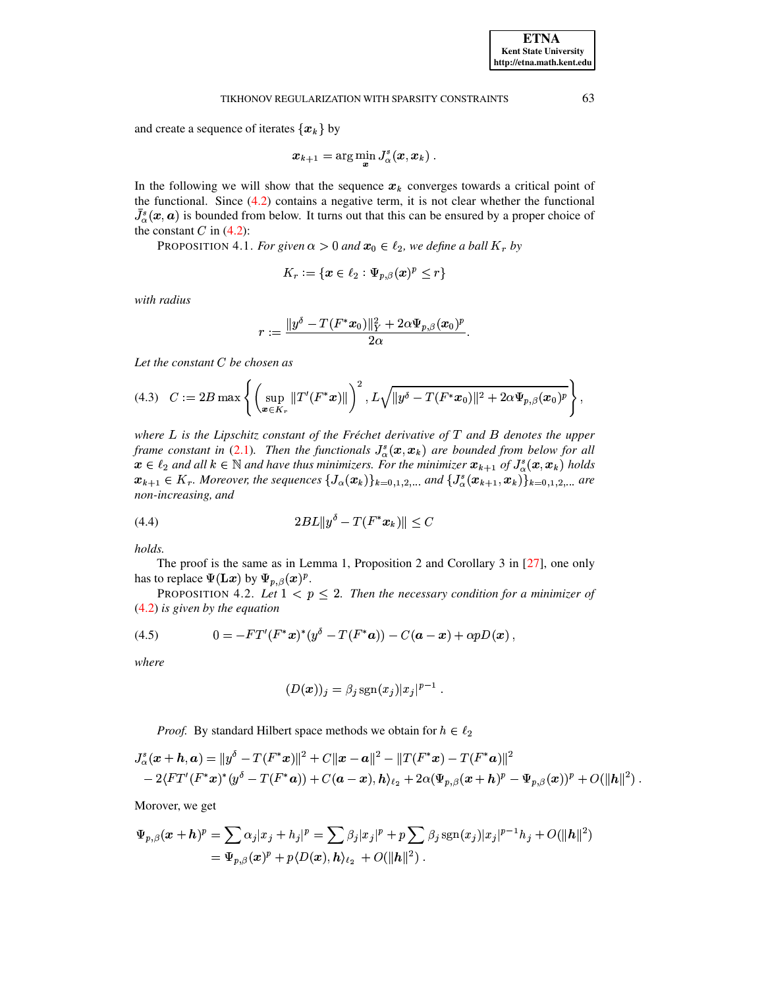and create a sequence of iterates  $\{x_k\}$  by

$$
\boldsymbol{x}_{k+1} = \arg\min_{\boldsymbol{x}} J_{\alpha}^s(\boldsymbol{x}, \boldsymbol{x}_k)~.
$$

In the following we will show that the sequence  $x_k$  converges towards a critical point of the functional. Since  $(4.2)$  contains a negative term, it is not clear whether the functional  $\bar{J}_{\alpha}^{s}(x, a)$  is bounded from below. It turns out that this can be ensured by a proper choice of the constant C in  $(4.2)$ :

<span id="page-9-2"></span>PROPOSITION 4.1. For given  $\alpha > 0$  and  $x_0 \in \ell_2$ , we define a ball  $K_r$  by

$$
K_r := \{ \mathbf{x} \in \ell_2 : \Psi_{p,\beta}(\mathbf{x})^p \le r \}
$$

with radius

<span id="page-9-1"></span>
$$
r:=\frac{\|y^\delta-T(F^*x_0)\|_Y^2+2\alpha\Psi_{p,\beta}(x_0)^p}{2\alpha}
$$

Let the constant  $C$  be chosen as

$$
(4.3) \quad C := 2B \max \left\{ \left( \sup_{\bm{x} \in K_r} \|T'(F^*\bm{x})\| \right)^2, L\sqrt{\|y^\delta - T(F^*\bm{x}_0)\|^2 + 2\alpha \Psi_{p,\beta}(\bm{x}_0)^p} \right\},
$$

where  $L$  is the Lipschitz constant of the Fréchet derivative of  $T$  and  $B$  denotes the upper frame constant in (2.1). Then the functionals  $J^s_{\alpha}(x, x_k)$  are bounded from below for all  $x \in \ell_2$  and all  $k \in \mathbb{N}$  and have thus minimizers. For the minimizer  $x_{k+1}$  of  $J^s_{\alpha}(x, x_k)$  holds  $x_{k+1} \in K_r$ . Moreover, the sequences  $\{J_{\alpha}(x_k)\}_{k=0,1,2,...}$  and  $\{J_{\alpha}^s(x_{k+1},x_k)\}_{k=0,1,2,...}$  are non-increasing, and

<span id="page-9-3"></span>(4.4) 
$$
2BL||y^{\delta} - T(F^*x_k)|| \leq C
$$

holds.

The proof is the same as in Lemma 1, Proposition 2 and Corollary 3 in  $[27]$ , one only has to replace  $\Psi(\mathbf{L}x)$  by  $\Psi_{p,\beta}(x)^p$ .

<span id="page-9-0"></span>PROPOSITION 4.2. Let  $1 < p \le 2$ . Then the necessary condition for a minimizer of  $(4.2)$  is given by the equation

(4.5) 
$$
0 = -FT'(F^*x)^*(y^{\delta} - T(F^*a)) - C(a-x) + \alpha pD(x)
$$

where

$$
(D(\boldsymbol{x}))_j = \beta_j \operatorname{sgn}(x_j) |x_j|^{p-1} .
$$

*Proof.* By standard Hilbert space methods we obtain for  $h \in \ell_2$ 

$$
J_{\alpha}^{s}(\boldsymbol{x}+\boldsymbol{h},\boldsymbol{a})=\|y^{\delta}-T(F^{*}\boldsymbol{x})\|^{2}+C\|\boldsymbol{x}-\boldsymbol{a}\|^{2}-\|T(F^{*}\boldsymbol{x})-T(F^{*}\boldsymbol{a})\|^{2}-2\langle FT'(F^{*}\boldsymbol{x})^{*}(y^{\delta}-T(F^{*}\boldsymbol{a}))+C(\boldsymbol{a}-\boldsymbol{x}),\boldsymbol{h}\rangle_{\ell_{2}}+2\alpha(\Psi_{p,\beta}(\boldsymbol{x}+\boldsymbol{h})^{p}-\Psi_{p,\beta}(\boldsymbol{x}))^{p}+O(\|\boldsymbol{h}\|^{2})
$$

Morover, we get

$$
\Psi_{p,\beta}(x+h)^p = \sum \alpha_j |x_j + h_j|^p = \sum \beta_j |x_j|^p + p \sum \beta_j \operatorname{sgn}(x_j) |x_j|^{p-1} h_j + O(||h||^2)
$$
  
=  $\Psi_{p,\beta}(x)^p + p \langle D(x), h \rangle_{\ell_2} + O(||h||^2)$ .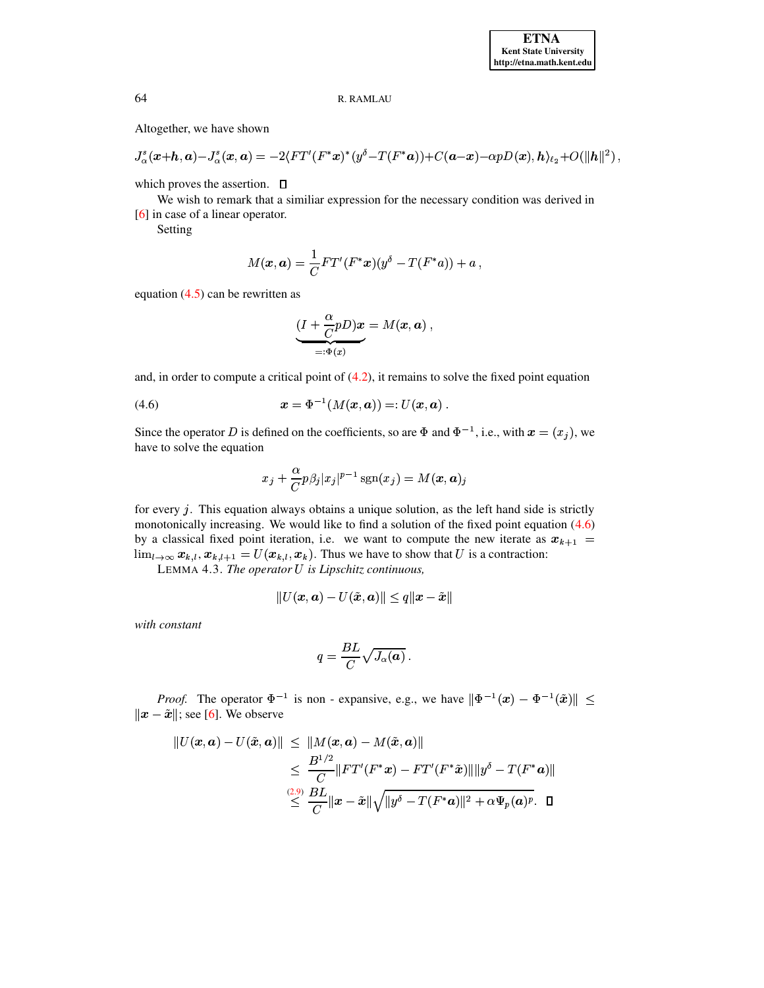Altogether, we have shown

$$
J^s_\alpha(\boldsymbol{x}+\boldsymbol{h},\boldsymbol{a})-J^s_\alpha(\boldsymbol{x},\boldsymbol{a})=-2\langle FT'(F^*\boldsymbol{x})^*(y^\delta-T(F^*\boldsymbol{a}))+C(\boldsymbol{a}-\boldsymbol{x})-\alpha pD(\boldsymbol{x}),\boldsymbol{h}\rangle_{\ell_2}+O(\|\boldsymbol{h}\|^2)
$$

which proves the assertion.  $\Box$ 

We wish to remark that a similiar expression for the necessary condition was derived in  $[6]$  in case of a linear operator.

Setting

$$
M(\boldsymbol{x},\boldsymbol{a})=\frac{1}{C}FT'(F^*\boldsymbol{x})(y^\delta-T(F^*a))+a\ ,
$$

equation  $(4.5)$  can be rewritten as

<span id="page-10-0"></span>
$$
\underbrace{(I + \frac{\alpha}{C}pD)\boldsymbol{x}}_{=: \Phi(\boldsymbol{x})} = M(\boldsymbol{x}, \boldsymbol{a}) ,
$$

and, in order to compute a critical point of  $(4.2)$ , it remains to solve the fixed point equation

(4.6) 
$$
x = \Phi^{-1}(M(x, a)) =: U(x, a)
$$

Since the operator D is defined on the coefficients, so are  $\Phi$  and  $\Phi^{-1}$ , i.e., with  $x = (x_i)$ , we have to solve the equation

$$
x_j + \frac{\alpha}{C} p\beta_j |x_j|^{p-1} \operatorname{sgn}(x_j) = M(x, a)_j
$$

for every  $i$ . This equation always obtains a unique solution, as the left hand side is strictly monotonically increasing. We would like to find a solution of the fixed point equation (4.6) by a classical fixed point iteration, i.e. we want to compute the new iterate as  $x_{k+1} =$  $\lim_{l\to\infty} x_{k,l}$ ,  $x_{k,l+1} = U(x_{k,l}, x_k)$ . Thus we have to show that U is a contraction:

LEMMA 4.3. The operator U is Lipschitz continuous,

$$
||U(\pmb{x},\pmb{a})-U(\tilde{\pmb{x}},\pmb{a})||\leq q||\pmb{x}-\tilde{\pmb{x}}||
$$

with constant

<span id="page-10-1"></span>
$$
q=\frac{BL}{C}\sqrt{J_{\alpha}(\pmb{a})}
$$

*Proof.* The operator  $\Phi^{-1}$  is non - expansive, e.g., we have  $\|\Phi^{-1}(x) - \Phi^{-1}(\tilde{x})\| \le$  $||x - \tilde{x}||$ ; see [6]. We observe

$$
||U(\boldsymbol{x}, \boldsymbol{a}) - U(\tilde{\boldsymbol{x}}, \boldsymbol{a})|| \le ||M(\boldsymbol{x}, \boldsymbol{a}) - M(\tilde{\boldsymbol{x}}, \boldsymbol{a})||
$$
  
\n
$$
\le \frac{B^{1/2}}{C} ||FT'(F^*\boldsymbol{x}) - FT'(F^*\tilde{\boldsymbol{x}})|| ||y^{\delta} - T(F^*\boldsymbol{a})||
$$
  
\n
$$
\le \frac{(2.9)}{C} ||\boldsymbol{x} - \tilde{\boldsymbol{x}}|| \sqrt{||y^{\delta} - T(F^*\boldsymbol{a})||^2 + \alpha \Psi_p(\boldsymbol{a})^p}.
$$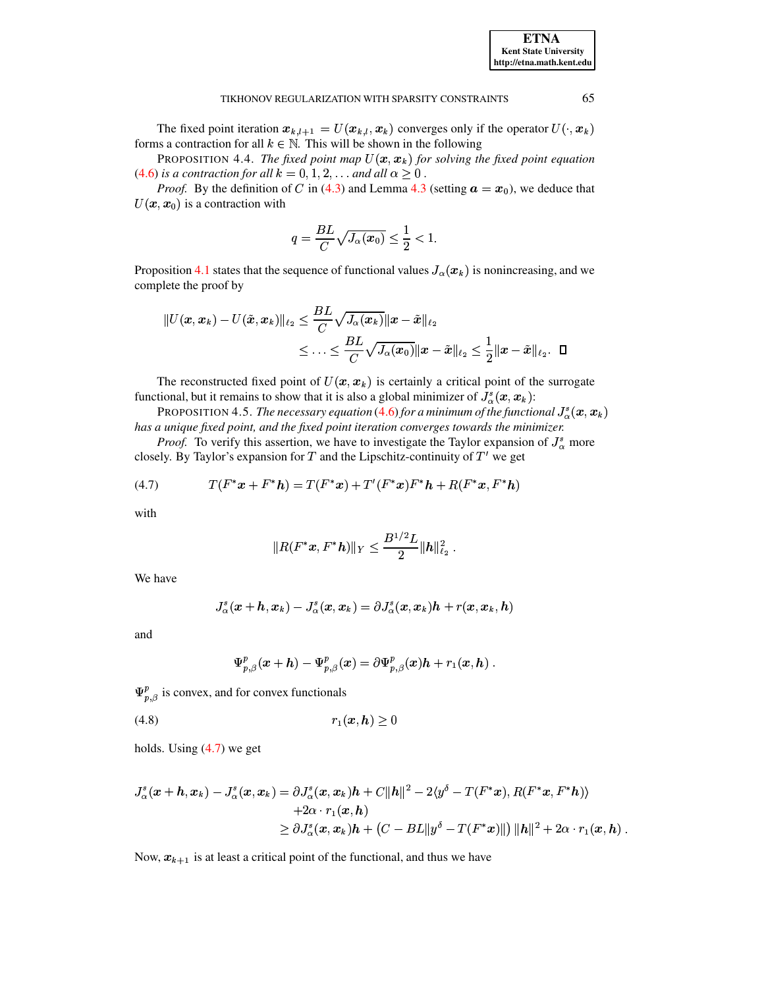The fixed point iteration  $x_{k,l+1} = U(x_{k,l}, x_k)$  converges only if the operator  $U(\cdot, x_k)$ forms a contraction for all  $k \in \mathbb{N}$ . This will be shown in the following

PROPOSITION 4.4. The fixed point map  $U(x, x_k)$  for solving the fixed point equation (4.6) is a contraction for all  $k = 0, 1, 2, \ldots$  and all  $\alpha \geq 0$ .

*Proof.* By the definition of C in (4.3) and Lemma 4.3 (setting  $a = x_0$ ), we deduce that  $U(\mathbf{x}, \mathbf{x}_0)$  is a contraction with

$$
q = \frac{BL}{C}\sqrt{J_{\alpha}(x_0)} \leq \frac{1}{2} < 1.
$$

Proposition 4.1 states that the sequence of functional values  $J_{\alpha}(x_k)$  is nonincreasing, and we complete the proof by

$$
||U(\pmb{x},\pmb{x}_k)-U(\tilde{\pmb{x}},\pmb{x}_k)||_{\ell_2}\leq \frac{BL}{C}\sqrt{J_\alpha(\pmb{x}_k)}\|\pmb{x}-\tilde{\pmb{x}}\|_{\ell_2}\\ \leq \dots \leq \frac{BL}{C}\sqrt{J_\alpha(\pmb{x}_0)}\|\pmb{x}-\tilde{\pmb{x}}\|_{\ell_2}\leq \frac{1}{2}\|\pmb{x}-\tilde{\pmb{x}}\|_{\ell_2}.\quad \Box
$$

The reconstructed fixed point of  $U(x, x_k)$  is certainly a critical point of the surrogate functional, but it remains to show that it is also a global minimizer of  $J^s_\alpha(\boldsymbol{x}, \boldsymbol{x}_k)$ :

**PROPOSITION 4.5.** The necessary equation (4.6) for a minimum of the functional  $J^s_{\alpha}(x, x_k)$ has a unique fixed point, and the fixed point iteration converges towards the minimizer.

*Proof.* To verify this assertion, we have to investigate the Taylor expansion of  $J^s_\alpha$  more closely. By Taylor's expansion for  $T$  and the Lipschitz-continuity of  $T'$  we get

$$
(4.7) \tT(F^*x + F^*h) = T(F^*x) + T'(F^*x)F^*h + R(F^*x, F^*h)
$$

with

<span id="page-11-0"></span>
$$
\|R(F^* \bm{x}, F^* \bm{h})\|_Y \leq \frac{B^{1/2}L}{2} \|\bm{h}\|_{\ell_2}^2\;.
$$

We have

$$
J_{\alpha}^s(\boldsymbol{x}+\boldsymbol{h},\boldsymbol{x}_k) - J_{\alpha}^s(\boldsymbol{x},\boldsymbol{x}_k) = \partial J_{\alpha}^s(\boldsymbol{x},\boldsymbol{x}_k) \boldsymbol{h} + r(\boldsymbol{x},\boldsymbol{x}_k,\boldsymbol{h})
$$

and

<span id="page-11-1"></span>
$$
\Psi_{p,\beta}^p(x+h)-\Psi_{p,\beta}^p(x)=\partial\Psi_{p,\beta}^p(x)h+r_1(x,h).
$$

 $\Psi_{n, \beta}^{p}$  is convex, and for convex functionals

$$
(4.8) \t\t\t r_1(\mathbf{x}, \mathbf{h}) \ge 0
$$

holds. Using  $(4.7)$  we get

$$
J_{\alpha}^{s}(\boldsymbol{x}+\boldsymbol{h},\boldsymbol{x}_{k})-J_{\alpha}^{s}(\boldsymbol{x},\boldsymbol{x}_{k})=\partial J_{\alpha}^{s}(\boldsymbol{x},\boldsymbol{x}_{k})\boldsymbol{h}+C\|\boldsymbol{h}\|^{2}-2\langle y^{\delta}-T(F^{*}\boldsymbol{x}),R(F^{*}\boldsymbol{x},F^{*}\boldsymbol{h})\rangle \\ +2\alpha\cdot r_{1}(\boldsymbol{x},\boldsymbol{h}) \\ \geq \partial J_{\alpha}^{s}(\boldsymbol{x},\boldsymbol{x}_{k})\boldsymbol{h}+\left(C-BL\|y^{\delta}-T(F^{*}\boldsymbol{x})\|\right)\|\boldsymbol{h}\|^{2}+2\alpha\cdot r_{1}(\boldsymbol{x},\boldsymbol{h})
$$

Now,  $x_{k+1}$  is at least a critical point of the functional, and thus we have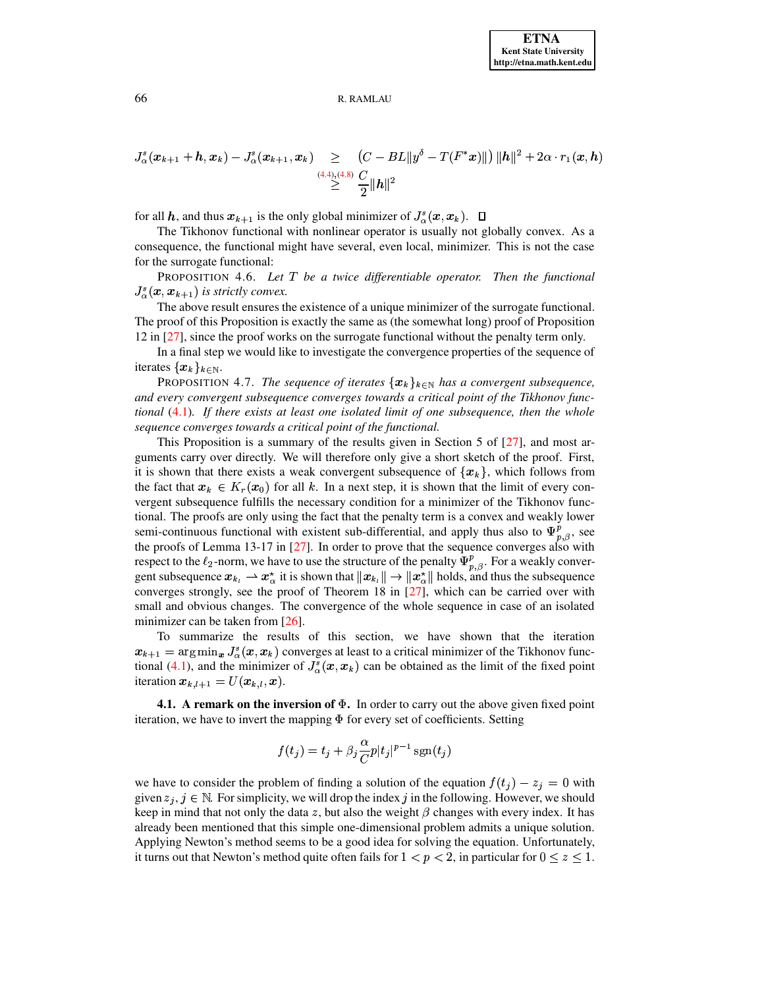$$
J^s_\alpha(\pmb{x}_{k+1}+\pmb{h},\pmb{x}_{k}) - J^s_\alpha(\pmb{x}_{k+1},\pmb{x}_{k}) \geq \frac{\left(C - BL\|y^\delta - T(F^*\pmb{x})\|\right)\|\pmb{h}\|^2 + 2\alpha \cdot r_1(\pmb{x},\pmb{h})}{\geq \frac{(4.4)_{\cdot}(4.8)}{2}\|\pmb{h}\|^2}
$$

for all h, and thus  $x_{k+1}$  is the only global minimizer of  $J^s_\alpha(x, x_k)$ .  $\Box$ 

 The Tikhonov functional with nonlinear operator is usually not globally convex. As a consequence, the functional might have several, even local, minimizer. This is not the case for the surrogate functional:

PROPOSITION 4.6. Let T be a twice differentiable operator. Then the functional  $J^s_{\alpha}(\boldsymbol{x}, \boldsymbol{x}_{k+1})$  is strictly convex.

The above result ensures the existence of a unique minimizer of the surrogate functional. The proof of this Proposition is exactly the same as (the somewhat long) proof of Proposition 12 in [\[27\]](#page-20-8), since the proof works on the surrogate functional without the penalty term only.

In a final step we would like to investigate the convergence properties of the sequence of iterates  $\{x_k\}_{k\in\mathbb{N}}$ .

PROPOSITION 4.7. *The sequence of iterates*  $\{x_k\}_{k\in\mathbb{N}}$  *has a convergent subsequence, and every convergent subsequence converges towards a critical point of the Tikhonov functional* [\(4.1\)](#page-8-2)*. If there exists at least one isolated limit of one subsequence, then the whole sequence converges towards a critical point of the functional.*

This Proposition is a summary of the results given in Section 5 of [\[27\]](#page-20-8), and most arguments carry over directly. We will therefore only give a short sketch of the proof. First, it is shown that there exists a weak convergent subsequence of  $\{x_k\}$ , which follows from the fact that  $x_k \in K_r(x_0)$  for all k. In a next step, it is shown that the limit of every convergent subsequence fulfills the necessary condition for a minimizer of the Tikhonov functional. The proofs are only using the fact that the penalty term is a convex and weakly lower semi-continuous functional with existent sub-differential, and apply thus also to  $\Psi_{p,q}^p$ , see the proofs of Lemma 13-17 in [\[27\]](#page-20-8). In order to prove that the sequence converges also with respect to the  $\ell_2$ -norm, we have to use the structure of the penalty  $\Psi^p_{n\beta}$ . For a weakly convergent subsequence  $x_{k_l} \rightharpoonup x_{\alpha}^*$  it is shown that  $||x_{k_l}|| \rightarrow ||x_{\alpha}^*||$  holds, and thus the subsequence converges strongly, see the proof of Theorem 18 in [\[27\]](#page-20-8), which can be carried over with small and obvious changes. The convergence of the whole sequence in case of an isolated minimizer can be taken from [\[26\]](#page-20-9).

To summarize the results of this section, we have shown that the iteration  $x_{k+1} = \arg\min_{x} J_{\alpha}^{s}(x, x_k)$  converges at least to a critical minimizer of the Tikhonov func-<br>tional (4.1), and the minimizer of  $I^{s}(x, x_k)$  can be obtained as the limit of the fixed point tional [\(4.1\)](#page-8-2), and the minimizer of  $J_{\alpha}^{s}(x, x_{k})$  can be obtained as the limit of the fixed point iteration  $\boldsymbol{x}_{k,l+1} = U(\boldsymbol{x}_{k,l}, \boldsymbol{x}).$ 

**4.1. A remark on the inversion of** <sup>g</sup>**.** In order to carry out the above given fixed point iteration, we have to invert the mapping  $\Phi$  for every set of coefficients. Setting

$$
f(t_j) = t_j + \beta_j \frac{\alpha}{C} p|t_j|^{p-1} \operatorname{sgn}(t_j)
$$

we have to consider the problem of finding a solution of the equation  $f(t_i) - z_i = 0$  with given  $z_j, j \in \mathbb{N}$ . For simplicity, we will drop the index j in the following. However, we should keep in mind that not only the data z, but also the weight  $\beta$  changes with every index. It has already been mentioned that this simple one-dimensional problem admits a unique solution. Applying Newton's method seems to be a good idea for solving the equation. Unfortunately, it turns out that Newton's method quite often fails for  $1 < p < 2$ , in particular for  $0 \le z \le 1$ .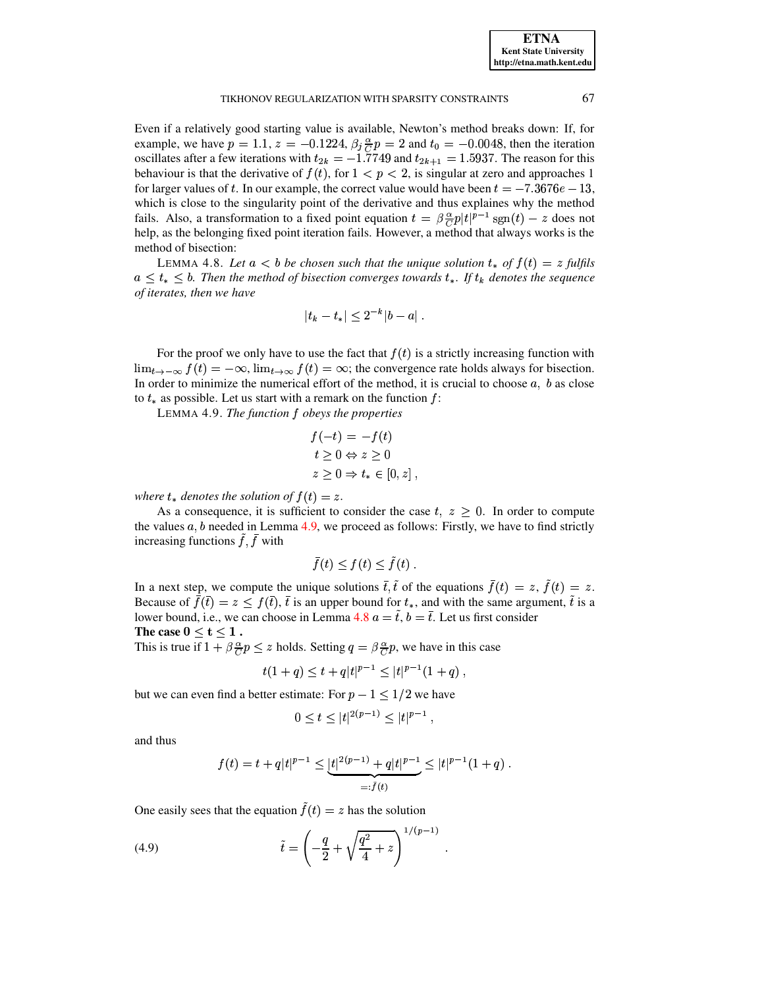Even if a relatively good starting value is available, Newton's method breaks down: If, for example, we have  $p = 1.1, z = -0.1224, \beta_j \frac{\alpha}{C} p = 2$  and  $t_0 = -0.0048$ , then the iteration oscillates after a few iterations with  $t_{2k} = -1.7749$  and  $t_{2k+1} = 1.5937$ . The reason for this happening is that the derivative of  $f(t)$ , for  $1 \le n \le 2$ , is singular at zero and approaches 1 behaviour is that the derivative of  $f(t)$ , for  $1 < p < 2$ , is singular at zero and approaches 1 for larger values of t. In our example, the correct value would have been  $t = -7.3676e - 13$ , which is close to the singularity point of the derivative and thus explaines why the method fails. Also, a transformation to a fixed point equation  $t = \beta \frac{\alpha}{C} p |t|^{p-1}$  sgn $(t) - z$  does not help, as the belonging fixed point iteration fails. However, a method that always works is the method of bisection:

<span id="page-13-1"></span>LEMMA 4.8. Let  $a < b$  be chosen such that the unique solution  $t_*$  of  $f(t) = z$  fulfils  $a \leq t_* \leq b$ . Then the method of bisection converges towards  $t_*$ . If  $t_k$  denotes the sequence *of iterates, then we have*

$$
|t_k - t_*| \leq 2^{-k} |b - a| \; .
$$

For the proof we only have to use the fact that  $f(t)$  is a strictly increasing function with  $\lim_{t\to-\infty} f(t) = -\infty$ ,  $\lim_{t\to\infty} f(t) = \infty$ ; the convergence rate holds always for bisection. In order to minimize the numerical effort of the method, it is crucial to choose  $a, b$  as close to  $t_*$  as possible. Let us start with a remark on the function  $f$ :

LEMMA 4.9. *The function f obeys the properties* 

<span id="page-13-0"></span>
$$
f(-t) = -f(t)
$$
  
\n
$$
t \ge 0 \Leftrightarrow z \ge 0
$$
  
\n
$$
z \ge 0 \Rightarrow t_* \in [0, z],
$$

where  $t_*$  denotes the solution of  $f(t) = z$ .

As a consequence, it is sufficient to consider the case  $t, z \geq 0$ . In order to compute the values  $a, b$  needed in Lemma [4.9,](#page-13-0) we proceed as follows: Firstly, we have to find strictly increasing functions  $f, f$  with

$$
\bar{f}(t) \le f(t) \le \tilde{f}(t).
$$

In a next step, we compute the unique solutions  $\bar{t}$ ,  $\bar{t}$  of the equations  $f(t) = z$ ,  $f(t) = z$ . Because of  $f(\bar{t}) = z \leq f(\bar{t}), \bar{t}$  is an upper bound for  $t_*,$  and with the same argument,  $\bar{t}$  is a lower bound, i.e., we can choose in Lemma [4.8](#page-13-1)  $a = \tilde{t}$ ,  $b = \bar{t}$ . Let us first consider The case  $0 \le t \le 1$ .

This is true if  $1 + \beta \frac{\alpha}{C} p \leq z$  holds. Setting  $q = \beta \frac{\alpha}{C} p$ , we have in this case

$$
t(1+q) \le t + q|t|^{p-1} \le |t|^{p-1}(1+q) ,
$$

but we can even find a better estimate: For  $p-1 \leq 1/2$  we have

<span id="page-13-2"></span>
$$
0 \le t \le |t|^{2(p-1)} \le |t|^{p-1} ,
$$

and thus

$$
f(t) = t + q|t|^{p-1} \le \underbrace{|t|^{2(p-1)} + q|t|^{p-1}}_{=: \tilde{f}(t)} \le |t|^{p-1}(1+q).
$$

One easily sees that the equation  $f(t) = z$  has the solution

(4.9) 
$$
\tilde{t} = \left(-\frac{q}{2} + \sqrt{\frac{q^2}{4} + z}\right)^{1/(p-1)}.
$$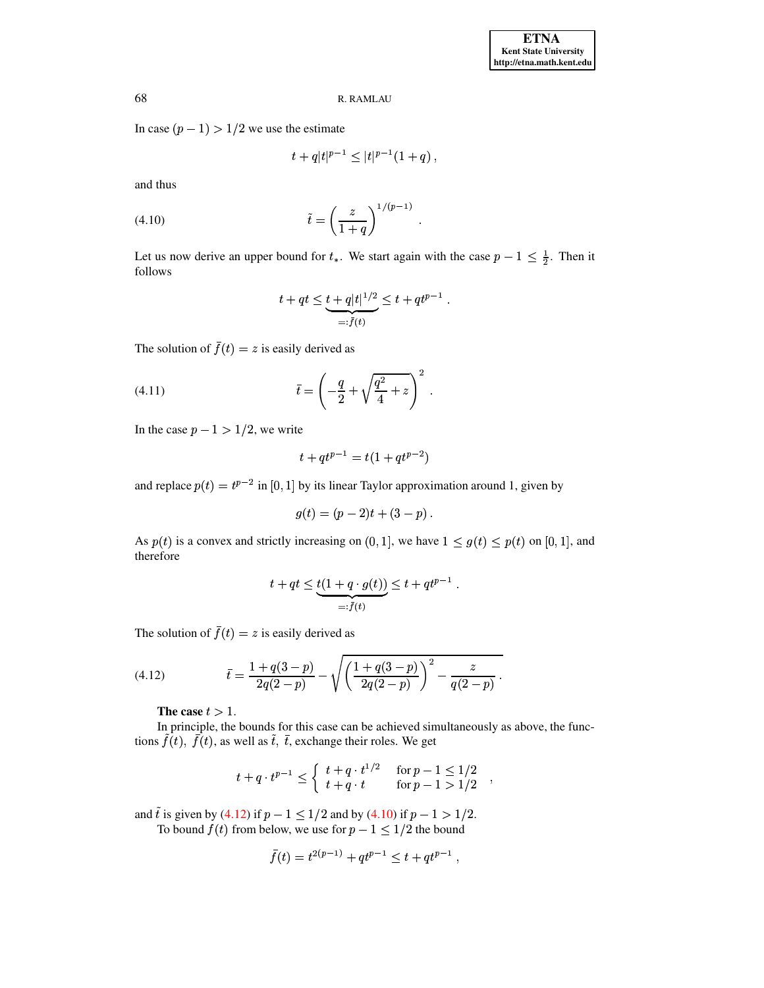In case  $(p - 1) > 1/2$  we use the estimate

$$
t + q|t|^{p-1} \le |t|^{p-1}(1+q) ,
$$

<span id="page-14-1"></span>and thus

(4.10) 
$$
\tilde{t} = \left(\frac{z}{1+q}\right)^{1/(p-1)}.
$$

Let us now derive an upper bound for  $t_*$ . We start again with the case  $p-1 \leq \frac{1}{2}$ . Then it follows

<span id="page-14-2"></span>
$$
t + qt \leq \underbrace{t + q|t|^{1/2}}_{=: \bar{f}(t)} \leq t + qt^{p-1}.
$$

The solution of  $\bar{f}(t) = z$  is easily derived as

(4.11) 
$$
\bar{t} = \left(-\frac{q}{2} + \sqrt{\frac{q^2}{4} + z}\right)^2.
$$

In the case  $p - 1 > 1/2$ , we write

$$
t + qt^{p-1} = t(1 + qt^{p-2})
$$

and replace  $p(t) = t^{p-2}$  in [0, 1] by its linear Taylor approximation around 1, given by

$$
g(t) = (p-2)t + (3-p).
$$

As  $p(t)$  is a convex and strictly increasing on  $(0, 1]$ , we have  $1 \le g(t) \le p(t)$  on  $[0, 1]$ , and therefore

<span id="page-14-0"></span>
$$
t + qt \le \underbrace{t(1 + q \cdot g(t))}_{=: \bar{f}(t)} \le t + qt^{p-1}
$$

The solution of  $\bar{f}(t) = z$  is easily derived as

(4.12) 
$$
\bar{t} = \frac{1 + q(3 - p)}{2q(2 - p)} - \sqrt{\left(\frac{1 + q(3 - p)}{2q(2 - p)}\right)^2 - \frac{z}{q(2 - p)}}.
$$

The case  $t > 1$ .

In principle, the bounds for this case can be achieved simultaneously as above, the functions  $\tilde{f}(t)$ ,  $\bar{f}(t)$ , as well as  $\tilde{t}$ ,  $\bar{t}$ , exchange their roles. We get

$$
t + q \cdot t^{p-1} \le \begin{cases} t + q \cdot t^{1/2} & \text{for } p - 1 \le 1/2 \\ t + q \cdot t & \text{for } p - 1 > 1/2 \end{cases}
$$

 $\overline{\phantom{a}}$ 

and  $\tilde{t}$  is given by (4.12) if  $p - 1 \le 1/2$  and by (4.10) if  $p - 1 > 1/2$ .

To bound  $f(t)$  from below, we use for  $p - 1 \leq 1/2$  the bound

$$
\bar{f}(t) = t^{2(p-1)} + qt^{p-1} \le t + qt^{p-1},
$$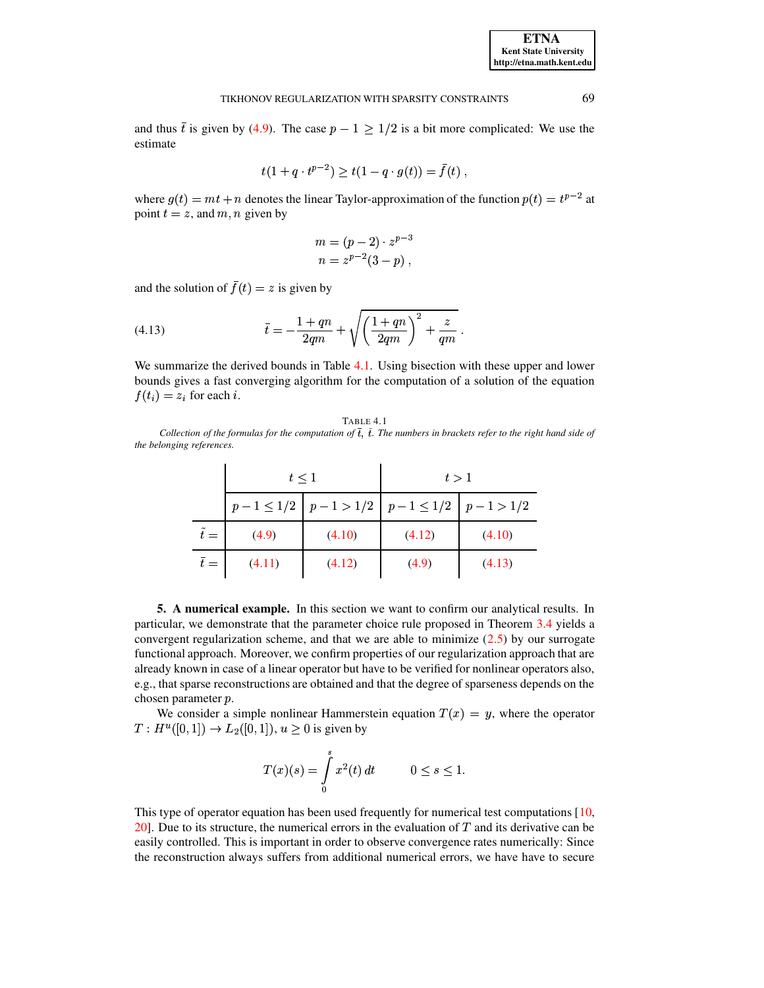and thus  $\bar{t}$  is given by (4.9). The case  $p - 1 \ge 1/2$  is a bit more complicated: We use the estimate

$$
t(1 + q \cdot t^{p-2}) \ge t(1 - q \cdot g(t)) = \bar{f}(t) ,
$$

where  $g(t) = mt + n$  denotes the linear Taylor-approximation of the function  $p(t) = t^{p-2}$  at point  $t = z$ , and m, n given by

<span id="page-15-2"></span>
$$
m = (p - 2) \cdot z^{p-3}
$$
  

$$
n = z^{p-2}(3 - p),
$$

and the solution of  $\bar{f}(t) = z$  is given by

(4.13) 
$$
\bar{t} = -\frac{1+qn}{2qm} + \sqrt{\left(\frac{1+qn}{2qm}\right)^2 + \frac{z}{qm}}
$$

We summarize the derived bounds in Table 4.1. Using bisection with these upper and lower bounds gives a fast converging algorithm for the computation of a solution of the equation  $f(t_i) = z_i$  for each i.

|--|

<span id="page-15-1"></span>Collection of the formulas for the computation of  $\bar{t}$ ,  $\tilde{t}$ . The numbers in brackets refer to the right hand side of the belonging references.

|               | $t \leq 1$ |                                                       | t > 1  |        |
|---------------|------------|-------------------------------------------------------|--------|--------|
|               |            | $p-1 \leq 1/2$ $p-1 > 1/2$ $p-1 \leq 1/2$ $p-1 > 1/2$ |        |        |
| $\tilde{t} =$ | (4.9)      | (4.10)                                                | (4.12) | (4.10) |
| $\bar{t} =$   | (4.11)     | (4.12)                                                | (4.9)  | (4.13) |

<span id="page-15-0"></span>5. A numerical example. In this section we want to confirm our analytical results. In particular, we demonstrate that the parameter choice rule proposed in Theorem 3.4 yields a convergent regularization scheme, and that we are able to minimize  $(2.5)$  by our surrogate functional approach. Moreover, we confirm properties of our regularization approach that are already known in case of a linear operator but have to be verified for nonlinear operators also, e.g., that sparse reconstructions are obtained and that the degree of sparseness depends on the chosen parameter p.

We consider a simple nonlinear Hammerstein equation  $T(x) = y$ , where the operator  $T: H^u([0,1]) \to L_2([0,1]), u \ge 0$  is given by

$$
T(x)(s) = \int_{0}^{s} x^{2}(t) dt \qquad 0 \le s \le 1.
$$

This type of operator equation has been used frequently for numerical test computations  $[10,$ 20]. Due to its structure, the numerical errors in the evaluation of  $T$  and its derivative can be easily controlled. This is important in order to observe convergence rates numerically: Since the reconstruction always suffers from additional numerical errors, we have have to secure

69

**ETNA Kent State University** http://etna.math.kent.edu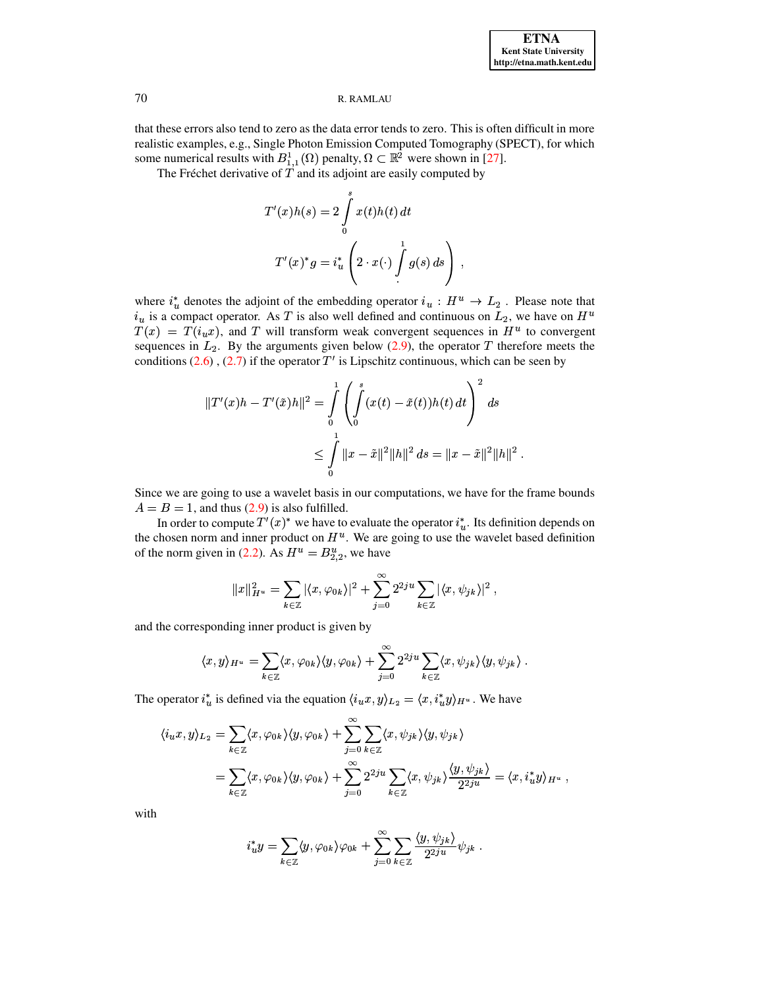that these errors also tend to zero as the data error tends to zero. This is often difficult in more realistic examples, e.g., Single Photon Emission Computed Tomography (SPECT), for which some numerical results with  $B_{1,1}^1(\Omega)$  penalty,  $\Omega \subset \mathbb{R}^2$  were shown in [27].

The Fréchet derivative of  $T$  and its adjoint are easily computed by

$$
T'(x)h(s) = 2\int_{0}^{s} x(t)h(t) dt
$$

$$
T'(x)^*g = i_u^* \left(2 \cdot x(\cdot) \int_{0}^{1} g(s) ds\right),
$$

where  $i_u^*$  denotes the adjoint of the embedding operator  $i_u : H^u \to L_2$ . Please note that  $i_u$  is a compact operator. As T is also well defined and continuous on  $L_2$ , we have on  $H^u$  $T(x) = T(i<sub>u</sub>x)$ , and T will transform weak convergent sequences in  $H<sup>u</sup>$  to convergent sequences in  $L_2$ . By the arguments given below (2.9), the operator T therefore meets the conditions  $(2.6)$ ,  $(2.7)$  if the operator T' is Lipschitz continuous, which can be seen by

$$
||T'(x)h - T'(\tilde{x})h||^2 = \int_0^1 \left( \int_0^s (x(t) - \tilde{x}(t))h(t) dt \right)^2 ds
$$
  

$$
\leq \int_0^1 ||x - \tilde{x}||^2 ||h||^2 ds = ||x - \tilde{x}||^2 ||h||^2
$$

Since we are going to use a wavelet basis in our computations, we have for the frame bounds  $A = B = 1$ , and thus (2.9) is also fulfilled.

In order to compute  $T'(x)^*$  we have to evaluate the operator  $i^*_{\nu}$ . Its definition depends on the chosen norm and inner product on  $H<sup>u</sup>$ . We are going to use the wavelet based definition of the norm given in (2.2). As  $H^u = B^u_{2,2}$ , we have

$$
||x||_{H^u}^2 = \sum_{k \in \mathbb{Z}} |\langle x, \varphi_{0k} \rangle|^2 + \sum_{j=0}^{\infty} 2^{2ju} \sum_{k \in \mathbb{Z}} |\langle x, \psi_{jk} \rangle|^2,
$$

and the corresponding inner product is given by

$$
\langle x, y \rangle_{H^u} = \sum_{k \in \mathbb{Z}} \langle x, \varphi_{0k} \rangle \langle y, \varphi_{0k} \rangle + \sum_{j=0}^{\infty} 2^{2ju} \sum_{k \in \mathbb{Z}} \langle x, \psi_{jk} \rangle \langle y, \psi_{jk} \rangle.
$$

The operator  $i_u^*$  is defined via the equation  $\langle i_u x, y \rangle_{L_2} = \langle x, i_u^* y \rangle_{H^u}$ . We have

$$
\langle i_u x, y \rangle_{L_2} = \sum_{k \in \mathbb{Z}} \langle x, \varphi_{0k} \rangle \langle y, \varphi_{0k} \rangle + \sum_{j=0}^{\infty} \sum_{k \in \mathbb{Z}} \langle x, \psi_{jk} \rangle \langle y, \psi_{jk} \rangle
$$
  
= 
$$
\sum_{k \in \mathbb{Z}} \langle x, \varphi_{0k} \rangle \langle y, \varphi_{0k} \rangle + \sum_{j=0}^{\infty} 2^{2ju} \sum_{k \in \mathbb{Z}} \langle x, \psi_{jk} \rangle \frac{\langle y, \psi_{jk} \rangle}{2^{2ju}} = \langle x, i_u^* y \rangle_{H^u},
$$

with

$$
i_u^* y = \sum_{k \in \mathbb{Z}} \langle y, \varphi_{0k} \rangle \varphi_{0k} + \sum_{j=0}^{\infty} \sum_{k \in \mathbb{Z}} \frac{\langle y, \psi_{jk} \rangle}{2^{2ju}} \psi_{jk} .
$$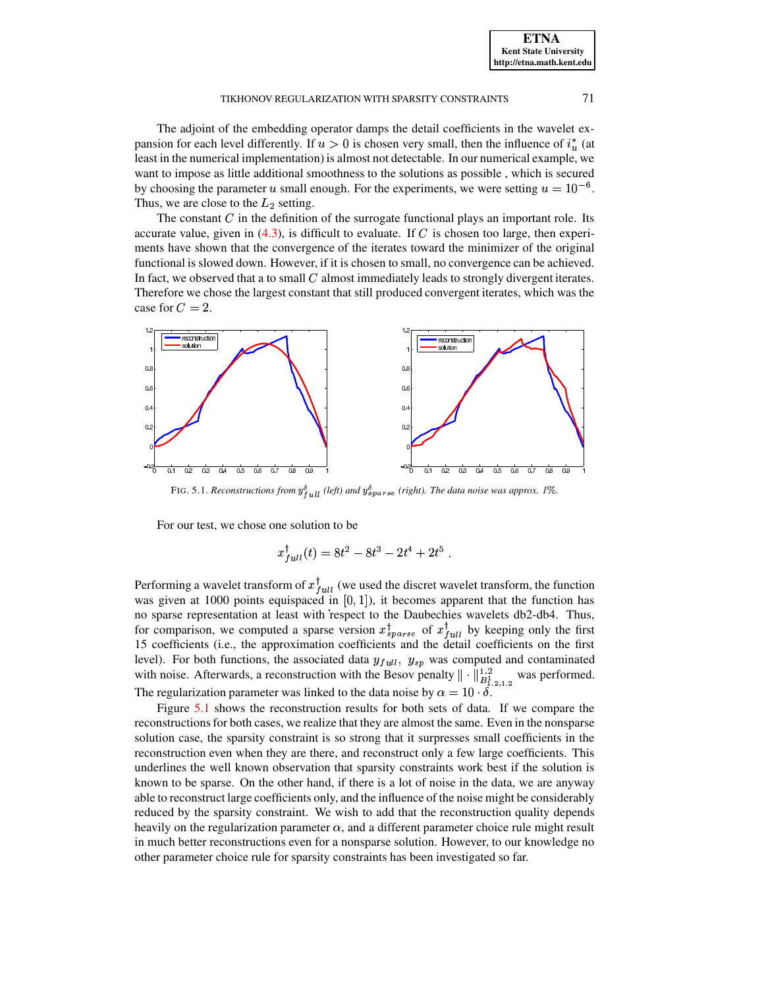The adjoint of the embedding operator damps the detail coefficients in the wavelet expansion for each level differently. If  $u > 0$  is chosen very small, then the influence of  $i_u^*$  (at least in the numerical implementation) is almost not detectable. In our numerical example, we want to impose as little additional smoothness to the solutions as possible , which is secured by choosing the parameter u small enough. For the experiments, we were setting  $u = 10^{-6}$ . Thus, we are close to the  $L_2$  setting.

The constant  $\overline{C}$  in the definition of the surrogate functional plays an important role. Its accurate value, given in  $(4.3)$ , is difficult to evaluate. If C is chosen too large, then experiments have shown that the convergence of the iterates toward the minimizer of the original functional is slowed down. However, if it is chosen to small, no convergence can be achieved. In fact, we observed that a to small  $C$  almost immediately leads to strongly divergent iterates. Therefore we chose the largest constant that still produced convergent iterates, which was the case for  $C=2$ .



FIG. 5.1. *Reconstructions from*  $y_{full}^{\delta}$  (left) and  $y_{sparse}^{\delta}$  (right). The data noise was approx. 1%.

<span id="page-17-0"></span>For our test, we chose one solution to be

$$
x_{full}^{\dagger}(t) = 8t^2 - 8t^3 - 2t^4 + 2t^5.
$$

was given at 1000 points equispaced in  $[0, 1]$ ), it becomes apparent that the function has Performing a wavelet transform of  $x_{full}^{\dagger}$  (we used the discret wavelet transform, the function no sparse representation at least with respect to the Daubechies wavelets db2-db4. Thus, for comparison, we computed a sparse version  $x_{sparse}^{\dagger}$  of  $x_{full}^{\dagger}$  by k  $_{ull}$  by keeping only the first 15 coefficients (i.e., the approximation coefficients and the detail coefficients on the first level). For both functions, the associated data  $y_{full}$ ,  $y_{sp}$  was computed and contaminated with noise. Afterwards, a reconstruction with the Besov penalty  $\|\cdot\|_{B^1_{1,2,1,2}}^{1,2}$  $\frac{1}{B_1^1}$  was performed. The regularization parameter was linked to the data noise by  $\alpha = 10 \cdot \delta$ .

Figure [5.1](#page-17-0) shows the reconstruction results for both sets of data. If we compare the reconstructionsfor both cases, we realize that they are almost the same. Even in the nonsparse solution case, the sparsity constraint is so strong that it surpresses small coefficients in the reconstruction even when they are there, and reconstruct only a few large coefficients. This underlines the well known observation that sparsity constraints work best if the solution is known to be sparse. On the other hand, if there is a lot of noise in the data, we are anyway able to reconstruct large coefficients only, and the influence of the noise might be considerably reduced by the sparsity constraint. We wish to add that the reconstruction quality depends heavily on the regularization parameter  $\alpha$ , and a different parameter choice rule might result in much better reconstructions even for a nonsparse solution. However, to our knowledge no other parameter choice rule for sparsity constraints has been investigated so far.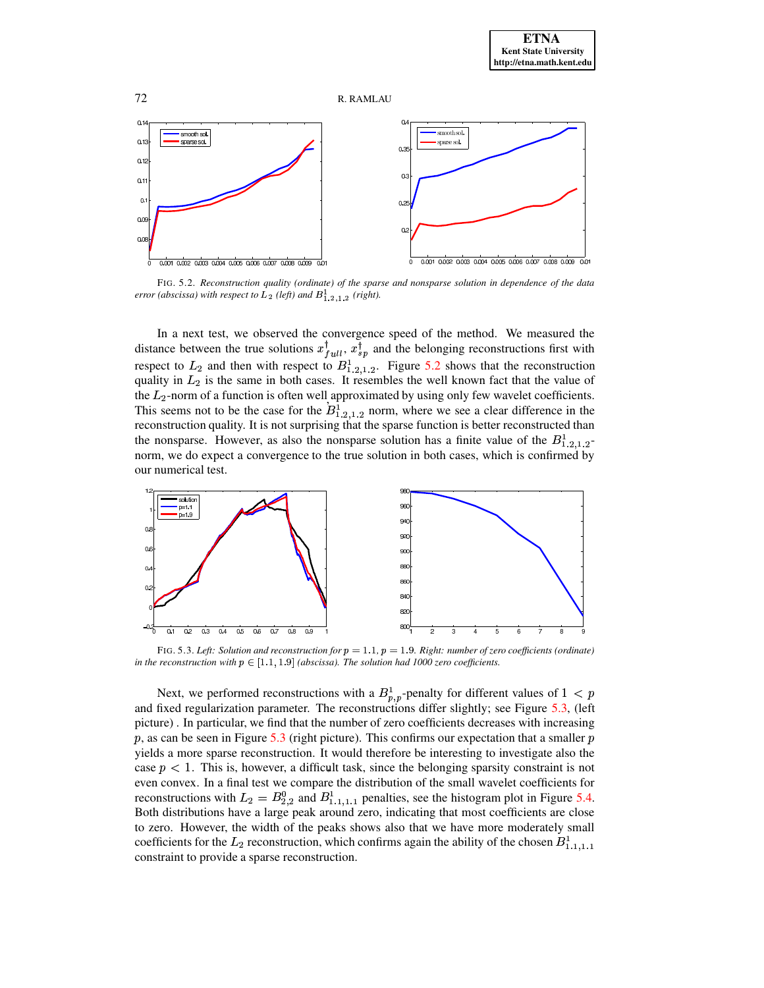



<span id="page-18-0"></span>FIG. 5.2. *Reconstruction quality (ordinate) of the sparse and nonsparse solution in dependence of the data error* (abscissa) with respect to  $L_2$  (left) and  $B_{1,2,1,2}^1$  (right).

the  $L_2$ -norm of a function is often well approximated by using only few wavelet coefficients. In a next test, we observed the convergence speed of the method. We measured the distance between the true solutions  $x_{full}^{\dagger}$ ,  $x_{sp}^{\dagger}$  and the belonging reconstructions first with respect to  $L_2$  and then with respect to  $B_{1,2,1,2}^1$ . Figure [5.2](#page-18-0) shows that the reconstruction quality in  $L_2$  is the same in both cases. It resembles the well known fact that the value of This seems not to be the case for the  $B_{1,2,1,2}^1$  norm, where we see a clear difference in the reconstruction quality. It is not surprising that the sparse function is better reconstructed than the nonsparse. However, as also the nonsparse solution has a finite value of the  $B_{1,2,1,2}^1$  norm, we do expect a convergence to the true solution in both cases, which is confirmed by our numerical test.



<span id="page-18-1"></span>FIG. 5.3. *Left: Solution* and *reconstruction for*  $p = 1.1$ ,  $p = 1.9$ *. Right: number of zero coefficients* (*ordinate*) *in the reconstruction with*  $p \in [1.1, 1.9]$  *(abscissa). The solution had 1000 zero coefficients.* 

case  $p < 1$ . This is, however, a difficult task, since the belonging sparsity constraint is not Next, we performed reconstructions with a  $B_{p,p}^1$ -penalty for different values of  $1 < p$ and fixed regularization parameter. The reconstructions differ slightly; see Figure [5.3,](#page-18-1) (left picture) . In particular, we find that the number of zero coefficients decreases with increasing  $p$ , as can be seen in Figure [5.3](#page-18-1) (right picture). This confirms our expectation that a smaller  $p$ yields a more sparse reconstruction. It would therefore be interesting to investigate also the even convex. In a final test we compare the distribution of the small wavelet coefficients for reconstructions with  $L_2 = B_{2,2}^0$  and  $B_{1,1,1,1}^1$  penalties, see the histogram plot in Figure [5.4.](#page-19-20) Both distributions have a large peak around zero, indicating that most coefficients are close to zero. However, the width of the peaks shows also that we have more moderately small coefficients for the  $L_2$  reconstruction, which confirms again the ability of the chosen  $B_{1,1,1,1}^1$ constraint to provide a sparse reconstruction.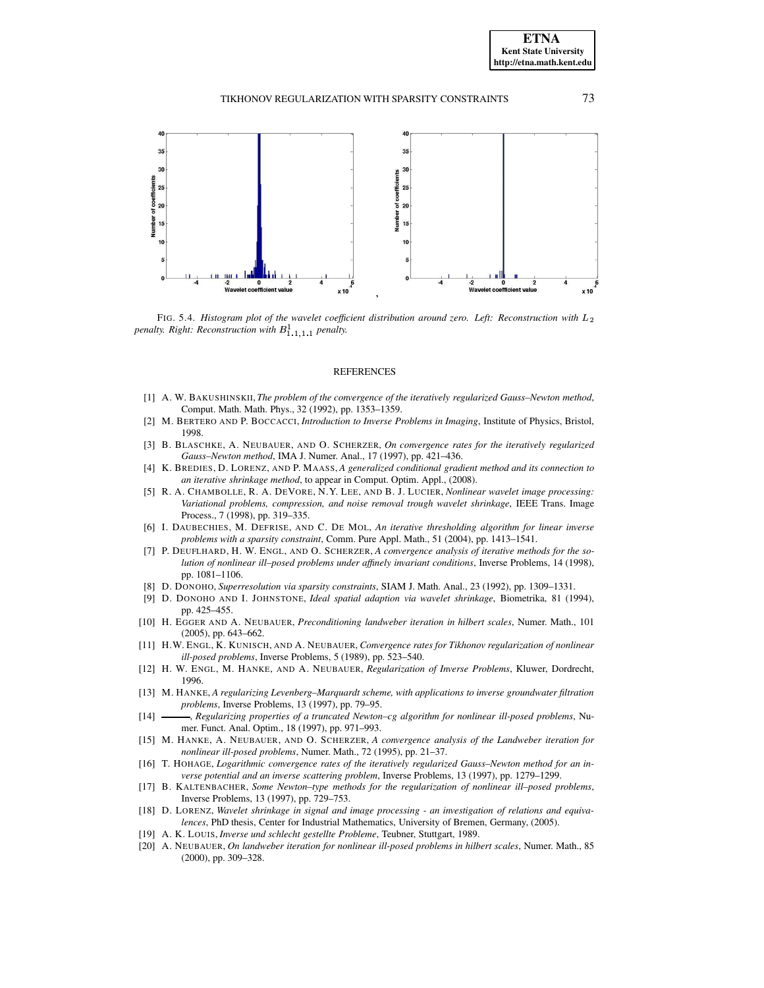

<span id="page-19-20"></span>FIG. 5.4. Histogram plot of the wavelet coefficient distribution around zero. Left: Reconstruction with  $L_2$ *penalty. Right: Reconstruction with*  $B^1_{1,1,1,1}$  *penalty.* 

#### REFERENCES

- <span id="page-19-4"></span>[1] A. W. BAKUSHINSKII,*The problem of the convergence of the iteratively regularized Gauss–Newton method*, Comput. Math. Math. Phys., 32 (1992), pp. 1353–1359.
- <span id="page-19-11"></span><span id="page-19-5"></span>[2] M. BERTERO AND P. BOCCACCI, *Introduction to Inverse Problems in Imaging*, Institute of Physics, Bristol, 1998.
- [3] B. BLASCHKE, A. NEUBAUER, AND O. SCHERZER, *On convergence rates for the iteratively regularized Gauss–Newton method*, IMA J. Numer. Anal., 17 (1997), pp. 421–436.
- <span id="page-19-17"></span>[4] K. BREDIES, D. LORENZ, AND P. MAASS, *A generalized conditional gradient method and its connection to an iterative shrinkage method*, to appear in Comput. Optim. Appl., (2008).
- <span id="page-19-15"></span>[5] R. A. CHAMBOLLE, R. A. DEVORE, N.Y. LEE, AND B. J. LUCIER, *Nonlinear wavelet image processing: Variational problems, compression, and noise removal trough wavelet shrinkage*, IEEE Trans. Image Process., 7 (1998), pp. 319–335.
- <span id="page-19-12"></span>[6] I. DAUBECHIES, M. DEFRISE, AND C. DE MOL, *An iterative thresholding algorithm for linear inverse problems with a sparsity constraint*, Comm. Pure Appl. Math., 51 (2004), pp. 1413–1541.
- <span id="page-19-7"></span>[7] P. DEUFLHARD, H. W. ENGL, AND O. SCHERZER, *A convergence analysis of iterative methods for the solution of nonlinear ill–posed problems under affinely invariant conditions*, Inverse Problems, 14 (1998), pp. 1081–1106.
- <span id="page-19-14"></span><span id="page-19-13"></span>[8] D. DONOHO, *Superresolution via sparsity constraints*, SIAM J. Math. Anal., 23 (1992), pp. 1309–1331.
- [9] D. DONOHO AND I. JOHNSTONE, *Ideal spatial adaption via wavelet shrinkage*, Biometrika, 81 (1994), pp. 425–455.
- <span id="page-19-18"></span>[10] H. EGGER AND A. NEUBAUER, *Preconditioning landweber iteration in hilbert scales*, Numer. Math., 101 (2005), pp. 643–662.
- <span id="page-19-2"></span>[11] H.W. ENGL, K. KUNISCH, AND A. NEUBAUER, *Convergence rates for Tikhonov regularization of nonlinear ill-posed problems*, Inverse Problems, 5 (1989), pp. 523–540.
- <span id="page-19-0"></span>[12] H. W. ENGL, M. HANKE, AND A. NEUBAUER, *Regularization of Inverse Problems*, Kluwer, Dordrecht, 1996.
- <span id="page-19-10"></span>[13] M. HANKE, *A regularizing Levenberg–Marquardt scheme, with applications to inverse groundwater filtration problems*, Inverse Problems, 13 (1997), pp. 79–95.
- <span id="page-19-8"></span>[14] , *Regularizing properties of a truncated Newton–cg algorithm for nonlinear ill-posed problems*, Numer. Funct. Anal. Optim., 18 (1997), pp. 971–993.
- <span id="page-19-3"></span>[15] M. HANKE, A. NEUBAUER, AND O. SCHERZER, *A convergence analysis of the Landweber iteration for nonlinear ill-posed problems*, Numer. Math., 72 (1995), pp. 21–37.
- <span id="page-19-6"></span>[16] T. HOHAGE, *Logarithmic convergence rates of the iteratively regularized Gauss–Newton method for an inverse potential and an inverse scattering problem*, Inverse Problems, 13 (1997), pp. 1279–1299.
- <span id="page-19-9"></span>[17] B. KALTENBACHER, *Some Newton–type methods for the regularization of nonlinear ill–posed problems*, Inverse Problems, 13 (1997), pp. 729–753.
- <span id="page-19-16"></span>[18] D. LORENZ, *Wavelet shrinkage in signal and image processing - an investigation of relations and equivalences*, PhD thesis, Center for Industrial Mathematics, University of Bremen, Germany, (2005).
- <span id="page-19-19"></span><span id="page-19-1"></span>[19] A. K. LOUIS, *Inverse und schlecht gestellte Probleme*, Teubner, Stuttgart, 1989.
- [20] A. NEUBAUER, *On landweber iteration for nonlinear ill-posed problems in hilbert scales*, Numer. Math., 85 (2000), pp. 309–328.

**ETNA Kent State University http://etna.math.kent.edu**